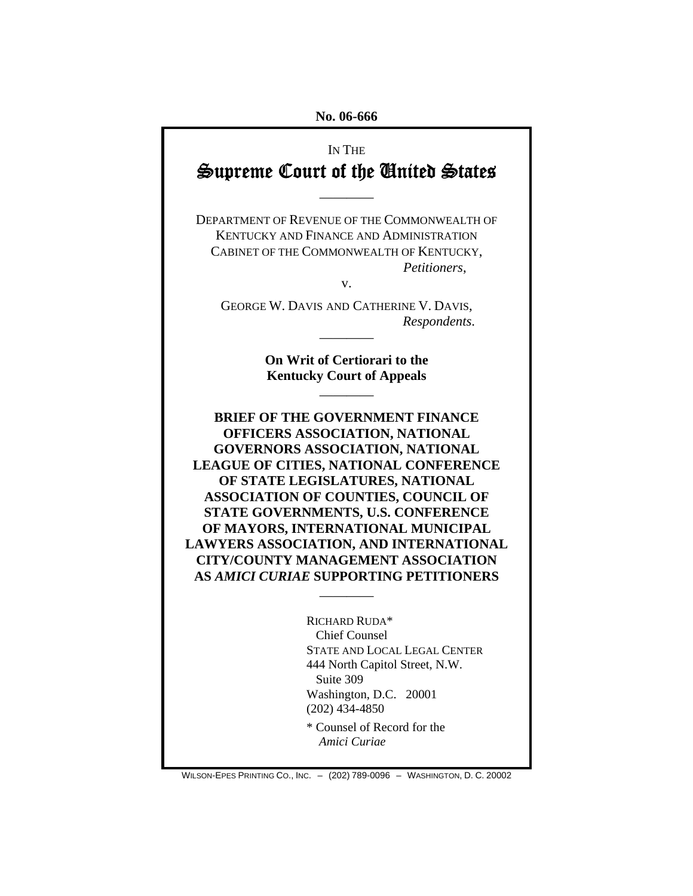**No. 06-666** 

# IN THE Supreme Court of the United States

————

DEPARTMENT OF REVENUE OF THE COMMONWEALTH OF KENTUCKY AND FINANCE AND ADMINISTRATION CABINET OF THE COMMONWEALTH OF KENTUCKY, *Petitioners*,

v.

GEORGE W. DAVIS AND CATHERINE V. DAVIS, *Respondents*.

————

**On Writ of Certiorari to the Kentucky Court of Appeals**

————

**BRIEF OF THE GOVERNMENT FINANCE OFFICERS ASSOCIATION, NATIONAL GOVERNORS ASSOCIATION, NATIONAL LEAGUE OF CITIES, NATIONAL CONFERENCE OF STATE LEGISLATURES, NATIONAL ASSOCIATION OF COUNTIES, COUNCIL OF STATE GOVERNMENTS, U.S. CONFERENCE OF MAYORS, INTERNATIONAL MUNICIPAL LAWYERS ASSOCIATION, AND INTERNATIONAL CITY/COUNTY MANAGEMENT ASSOCIATION AS** *AMICI CURIAE* **SUPPORTING PETITIONERS** 

————

RICHARD RUDA\* Chief Counsel STATE AND LOCAL LEGAL CENTER 444 North Capitol Street, N.W. Suite 309 Washington, D.C. 20001 (202) 434-4850 \* Counsel of Record for the

*Amici Curiae* 

WILSON-EPES PRINTING CO., INC. – (202) 789-0096 – WASHINGTON, D. C. 20002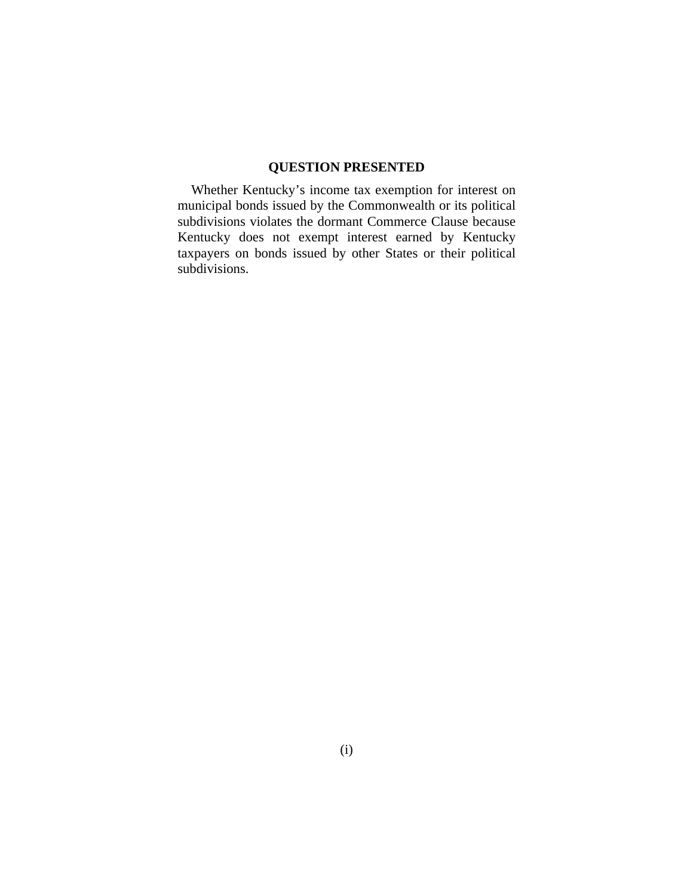## **QUESTION PRESENTED**

Whether Kentucky's income tax exemption for interest on municipal bonds issued by the Commonwealth or its political subdivisions violates the dormant Commerce Clause because Kentucky does not exempt interest earned by Kentucky taxpayers on bonds issued by other States or their political subdivisions.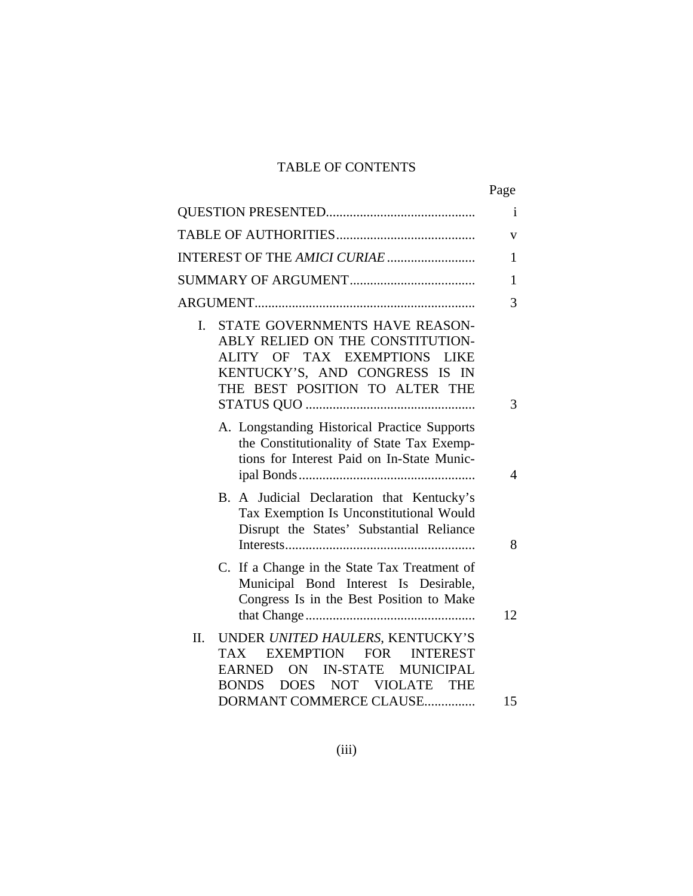# TABLE OF CONTENTS

|                                                                                                                                                                                                               | Page         |
|---------------------------------------------------------------------------------------------------------------------------------------------------------------------------------------------------------------|--------------|
|                                                                                                                                                                                                               | <sup>i</sup> |
|                                                                                                                                                                                                               | v            |
|                                                                                                                                                                                                               | 1            |
|                                                                                                                                                                                                               | 1            |
|                                                                                                                                                                                                               | 3            |
| STATE GOVERNMENTS HAVE REASON-<br>I.<br>ABLY RELIED ON THE CONSTITUTION-<br>ALITY OF TAX EXEMPTIONS LIKE<br>KENTUCKY'S, AND CONGRESS IS IN<br>THE BEST POSITION TO ALTER THE                                  | 3            |
| A. Longstanding Historical Practice Supports<br>the Constitutionality of State Tax Exemp-<br>tions for Interest Paid on In-State Munic-                                                                       | 4            |
| B. A Judicial Declaration that Kentucky's<br>Tax Exemption Is Unconstitutional Would<br>Disrupt the States' Substantial Reliance                                                                              | 8            |
| C. If a Change in the State Tax Treatment of<br>Municipal Bond Interest Is Desirable,<br>Congress Is in the Best Position to Make                                                                             | 12           |
| UNDER UNITED HAULERS, KENTUCKY'S<br>II.<br><b>EXEMPTION</b><br><b>FOR</b><br><b>INTEREST</b><br><b>TAX</b><br>ON IN-STATE MUNICIPAL<br><b>EARNED</b><br>BONDS DOES NOT VIOLATE THE<br>DORMANT COMMERCE CLAUSE | 15           |
|                                                                                                                                                                                                               |              |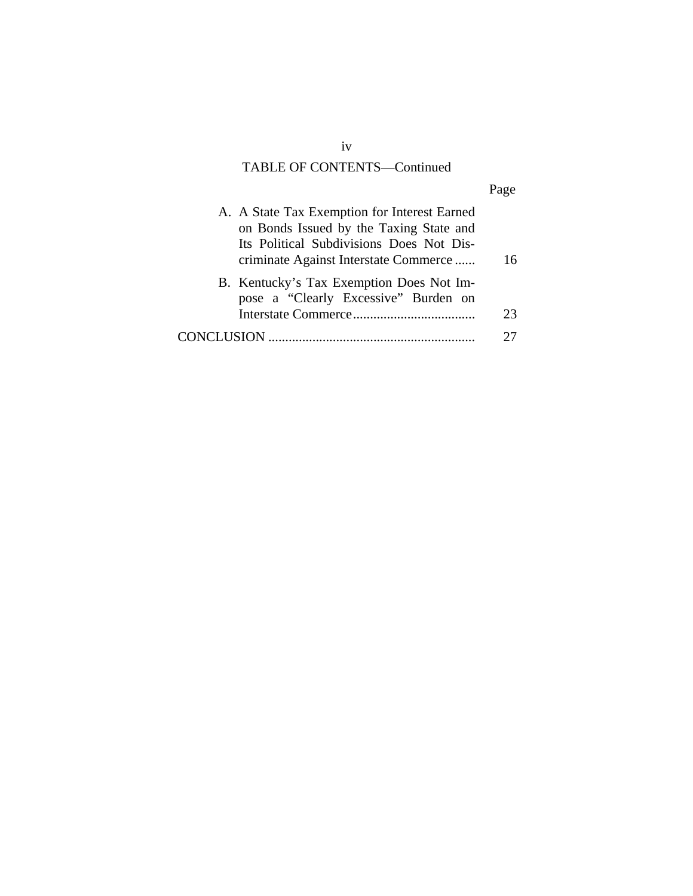# TABLE OF CONTENTS—Continued

|--|

| A. A State Tax Exemption for Interest Earned<br>on Bonds Issued by the Taxing State and<br>Its Political Subdivisions Does Not Dis-<br>criminate Against Interstate Commerce | 16 |
|------------------------------------------------------------------------------------------------------------------------------------------------------------------------------|----|
| B. Kentucky's Tax Exemption Does Not Im-<br>pose a "Clearly Excessive" Burden on                                                                                             | 23 |
|                                                                                                                                                                              |    |

iv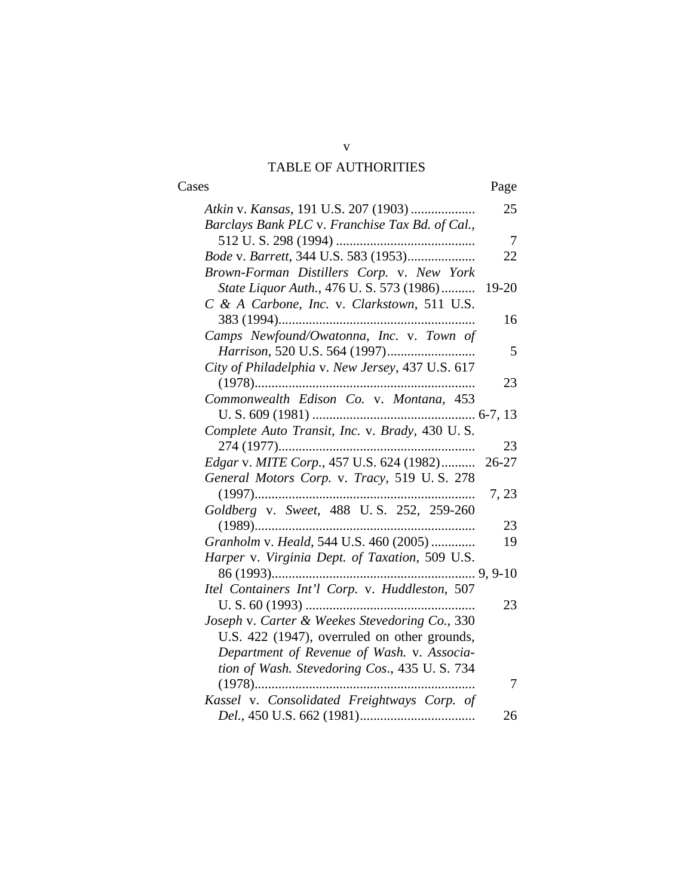# TABLE OF AUTHORITIES

| Cases                                                                                   | Page  |
|-----------------------------------------------------------------------------------------|-------|
| Atkin v. Kansas, 191 U.S. 207 (1903)<br>Barclays Bank PLC v. Franchise Tax Bd. of Cal., | 25    |
|                                                                                         | 7     |
| Bode v. Barrett, 344 U.S. 583 (1953)                                                    | 22    |
| Brown-Forman Distillers Corp. v. New York                                               |       |
| State Liquor Auth., 476 U.S. 573 (1986)                                                 | 19-20 |
| C & A Carbone, Inc. v. Clarkstown, 511 U.S.                                             |       |
|                                                                                         | 16    |
| Camps Newfound/Owatonna, Inc. v. Town of                                                |       |
| Harrison, 520 U.S. 564 (1997)                                                           | 5     |
| City of Philadelphia v. New Jersey, 437 U.S. 617                                        |       |
|                                                                                         | 23    |
| Commonwealth Edison Co. v. Montana, 453                                                 |       |
| Complete Auto Transit, Inc. v. Brady, 430 U.S.                                          |       |
|                                                                                         | 23    |
| Edgar v. MITE Corp., 457 U.S. 624 (1982)                                                | 26-27 |
| General Motors Corp. v. Tracy, 519 U.S. 278                                             | 7, 23 |
| Goldberg v. Sweet, 488 U.S. 252, 259-260                                                |       |
|                                                                                         | 23    |
| Granholm v. Heald, 544 U.S. 460 (2005)                                                  | 19    |
| Harper v. Virginia Dept. of Taxation, 509 U.S.                                          |       |
|                                                                                         |       |
| Itel Containers Int'l Corp. v. Huddleston, 507                                          |       |
|                                                                                         | 23    |
| Joseph v. Carter & Weekes Stevedoring Co., 330                                          |       |
| U.S. 422 (1947), overruled on other grounds,                                            |       |
| Department of Revenue of Wash. v. Associa-                                              |       |
| tion of Wash. Stevedoring Cos., 435 U.S. 734                                            |       |
|                                                                                         | 7     |
| Kassel v. Consolidated Freightways Corp. of                                             |       |
|                                                                                         | 26    |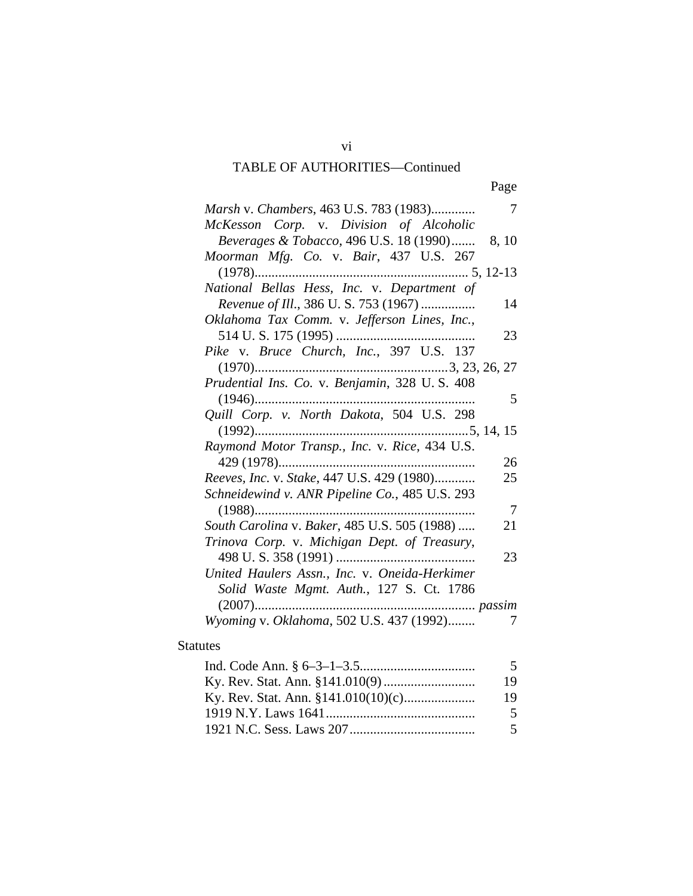# TABLE OF AUTHORITIES—Continued

| Page |
|------|
|      |

| Marsh v. Chambers, 463 U.S. 783 (1983)           | 7              |
|--------------------------------------------------|----------------|
| McKesson Corp. v. Division of Alcoholic          |                |
| Beverages & Tobacco, 496 U.S. 18 (1990)<br>8, 10 |                |
| Moorman Mfg. Co. v. Bair, 437 U.S. 267           |                |
|                                                  |                |
| National Bellas Hess, Inc. v. Department of      |                |
| Revenue of Ill., 386 U.S. 753 (1967)             | 14             |
| Oklahoma Tax Comm. v. Jefferson Lines, Inc.,     |                |
|                                                  | 23             |
| Pike v. Bruce Church, Inc., 397 U.S. 137         |                |
|                                                  |                |
| Prudential Ins. Co. v. Benjamin, 328 U.S. 408    |                |
|                                                  | 5              |
| Quill Corp. v. North Dakota, 504 U.S. 298        |                |
|                                                  |                |
| Raymond Motor Transp., Inc. v. Rice, 434 U.S.    |                |
|                                                  | 26             |
| Reeves, Inc. v. Stake, 447 U.S. 429 (1980)       | 25             |
| Schneidewind v. ANR Pipeline Co., 485 U.S. 293   |                |
|                                                  | $\overline{7}$ |
| South Carolina v. Baker, 485 U.S. 505 (1988)     | 21             |
| Trinova Corp. v. Michigan Dept. of Treasury,     |                |
|                                                  | 23             |
| United Haulers Assn., Inc. v. Oneida-Herkimer    |                |
| Solid Waste Mgmt. Auth., 127 S. Ct. 1786         |                |
|                                                  |                |
| Wyoming v. Oklahoma, 502 U.S. 437 (1992)         | 7              |

# Statutes

| 19.           |
|---------------|
| 19.           |
| $5^{\circ}$   |
| $\mathcal{F}$ |

vi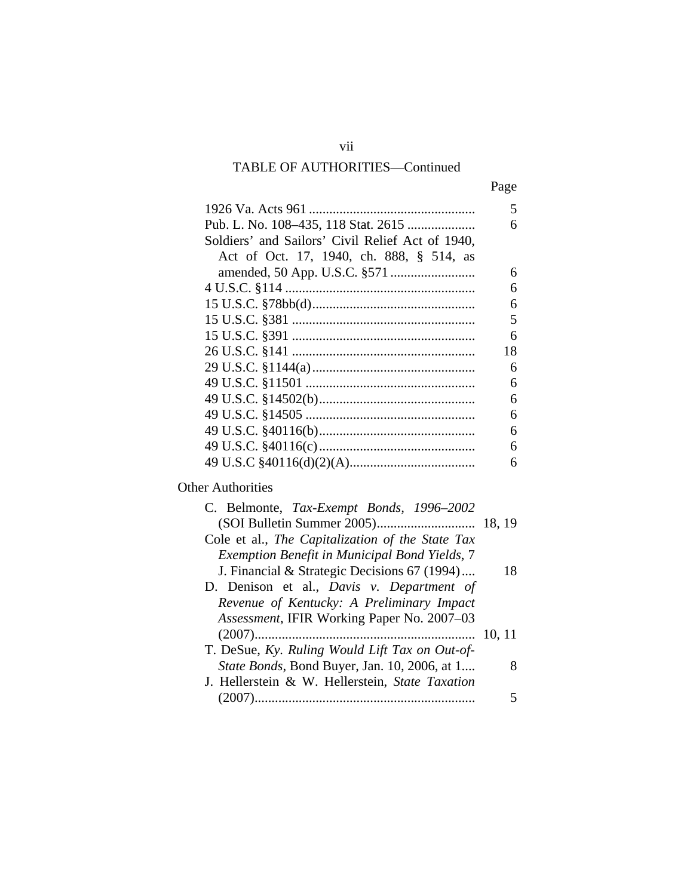# TABLE OF AUTHORITIES—Continued

| Page |
|------|
|      |

|                                                  | 5  |
|--------------------------------------------------|----|
| Pub. L. No. 108-435, 118 Stat. 2615              | 6  |
| Soldiers' and Sailors' Civil Relief Act of 1940, |    |
| Act of Oct. 17, 1940, ch. 888, § 514, as         |    |
|                                                  | 6  |
|                                                  | 6  |
|                                                  | 6  |
|                                                  | 5  |
|                                                  | 6  |
|                                                  | 18 |
|                                                  | 6  |
|                                                  | 6  |
|                                                  | 6  |
|                                                  | 6  |
|                                                  | 6  |
|                                                  | 6  |
|                                                  | 6  |

# Other Authorities

| 18     |
|--------|
|        |
|        |
|        |
| 10, 11 |
|        |
|        |
|        |
|        |
|        |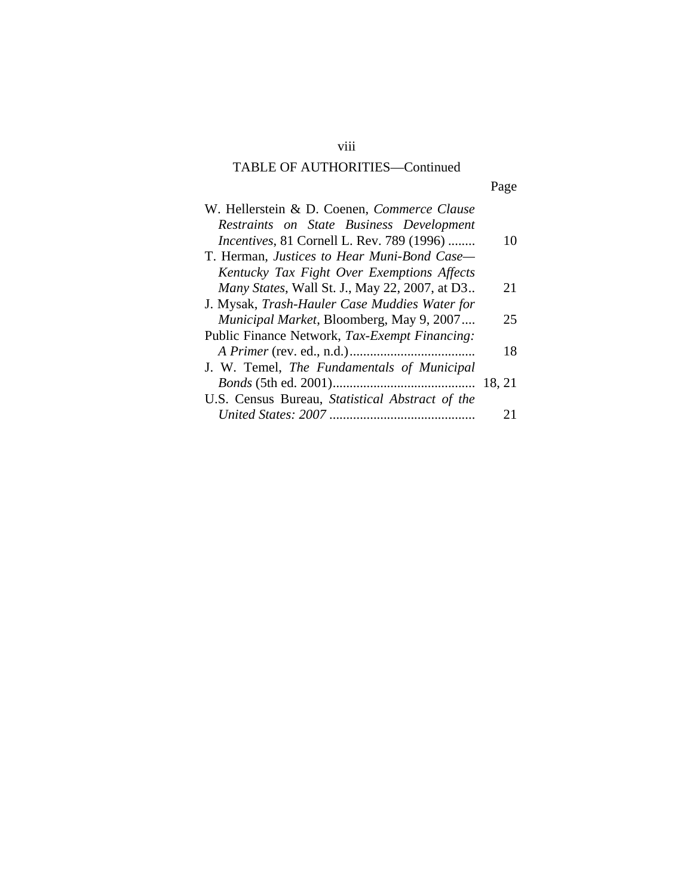# TABLE OF AUTHORITIES—Continued

#### Page **Page**

| W. Hellerstein & D. Coenen, Commerce Clause       |        |
|---------------------------------------------------|--------|
| Restraints on State Business Development          |        |
| <i>Incentives</i> , 81 Cornell L. Rev. 789 (1996) | 10     |
| T. Herman, Justices to Hear Muni-Bond Case-       |        |
| Kentucky Tax Fight Over Exemptions Affects        |        |
| Many States, Wall St. J., May 22, 2007, at D3     | 21     |
| J. Mysak, Trash-Hauler Case Muddies Water for     |        |
| Municipal Market, Bloomberg, May 9, 2007          | 25     |
| Public Finance Network, Tax-Exempt Financing:     |        |
|                                                   | 18     |
| J. W. Temel, The Fundamentals of Municipal        |        |
|                                                   | 18, 21 |
| U.S. Census Bureau, Statistical Abstract of the   |        |
|                                                   |        |

viii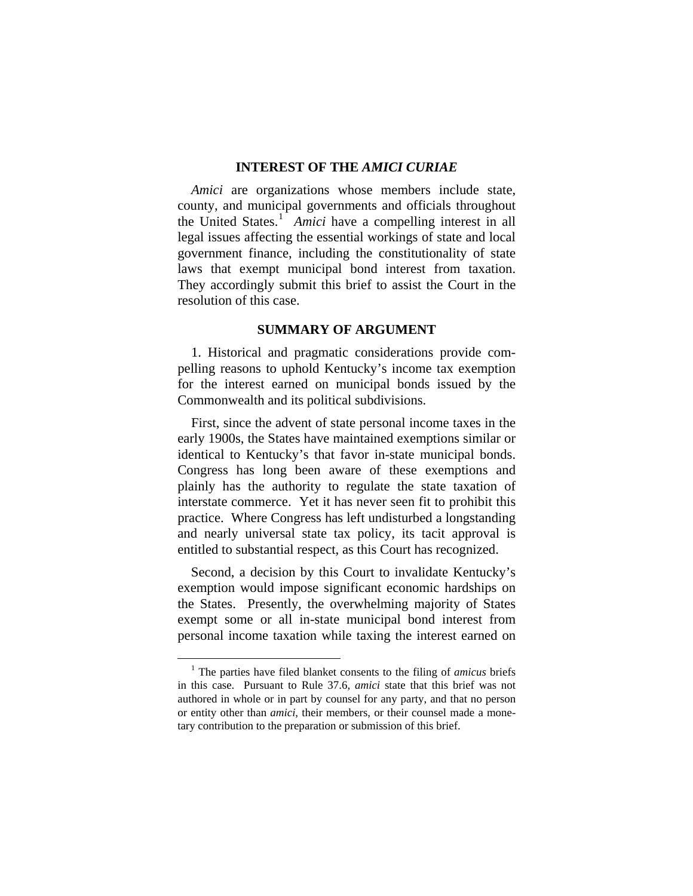#### **INTEREST OF THE** *AMICI CURIAE*

*Amici* are organizations whose members include state, county, and municipal governments and officials throughout the United States.<sup>[1](#page-8-0)</sup> Amici have a compelling interest in all legal issues affecting the essential workings of state and local government finance, including the constitutionality of state laws that exempt municipal bond interest from taxation. They accordingly submit this brief to assist the Court in the resolution of this case.

#### **SUMMARY OF ARGUMENT**

1. Historical and pragmatic considerations provide compelling reasons to uphold Kentucky's income tax exemption for the interest earned on municipal bonds issued by the Commonwealth and its political subdivisions.

First, since the advent of state personal income taxes in the early 1900s, the States have maintained exemptions similar or identical to Kentucky's that favor in-state municipal bonds. Congress has long been aware of these exemptions and plainly has the authority to regulate the state taxation of interstate commerce. Yet it has never seen fit to prohibit this practice. Where Congress has left undisturbed a longstanding and nearly universal state tax policy, its tacit approval is entitled to substantial respect, as this Court has recognized.

Second, a decision by this Court to invalidate Kentucky's exemption would impose significant economic hardships on the States. Presently, the overwhelming majority of States exempt some or all in-state municipal bond interest from personal income taxation while taxing the interest earned on

<span id="page-8-0"></span> $\frac{1}{1}$  The parties have filed blanket consents to the filing of *amicus* briefs in this case. Pursuant to Rule 37.6, *amici* state that this brief was not authored in whole or in part by counsel for any party, and that no person or entity other than *amici*, their members, or their counsel made a monetary contribution to the preparation or submission of this brief.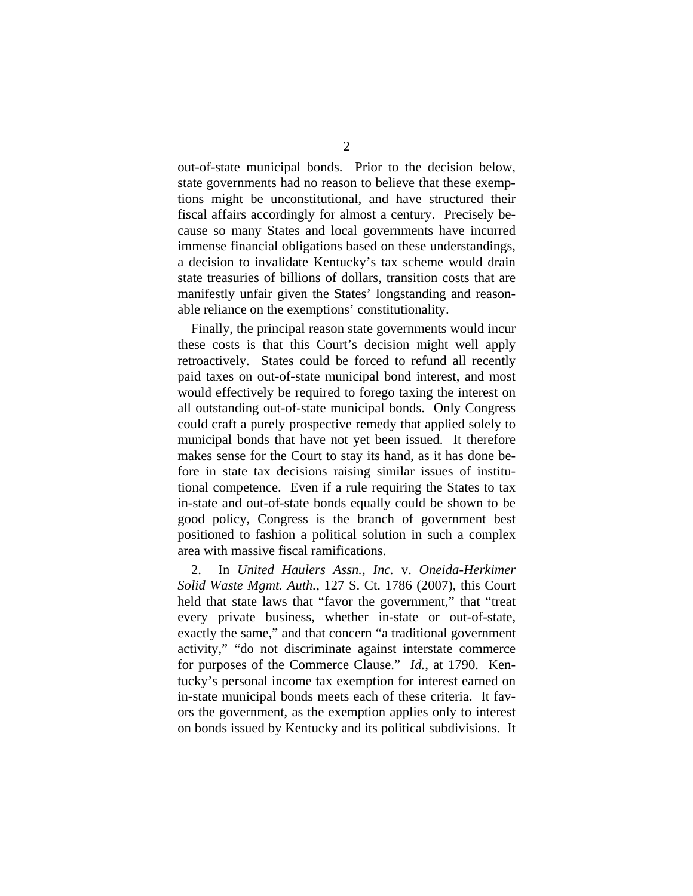out-of-state municipal bonds. Prior to the decision below, state governments had no reason to believe that these exemptions might be unconstitutional, and have structured their fiscal affairs accordingly for almost a century. Precisely because so many States and local governments have incurred immense financial obligations based on these understandings, a decision to invalidate Kentucky's tax scheme would drain state treasuries of billions of dollars, transition costs that are manifestly unfair given the States' longstanding and reasonable reliance on the exemptions' constitutionality.

Finally, the principal reason state governments would incur these costs is that this Court's decision might well apply retroactively. States could be forced to refund all recently paid taxes on out-of-state municipal bond interest, and most would effectively be required to forego taxing the interest on all outstanding out-of-state municipal bonds. Only Congress could craft a purely prospective remedy that applied solely to municipal bonds that have not yet been issued. It therefore makes sense for the Court to stay its hand, as it has done before in state tax decisions raising similar issues of institutional competence. Even if a rule requiring the States to tax in-state and out-of-state bonds equally could be shown to be good policy, Congress is the branch of government best positioned to fashion a political solution in such a complex area with massive fiscal ramifications.

2. In *United Haulers Assn., Inc.* v. *Oneida-Herkimer Solid Waste Mgmt. Auth.*, 127 S. Ct. 1786 (2007), this Court held that state laws that "favor the government," that "treat every private business, whether in-state or out-of-state, exactly the same," and that concern "a traditional government activity," "do not discriminate against interstate commerce for purposes of the Commerce Clause." *Id.*, at 1790. Kentucky's personal income tax exemption for interest earned on in-state municipal bonds meets each of these criteria. It favors the government, as the exemption applies only to interest on bonds issued by Kentucky and its political subdivisions. It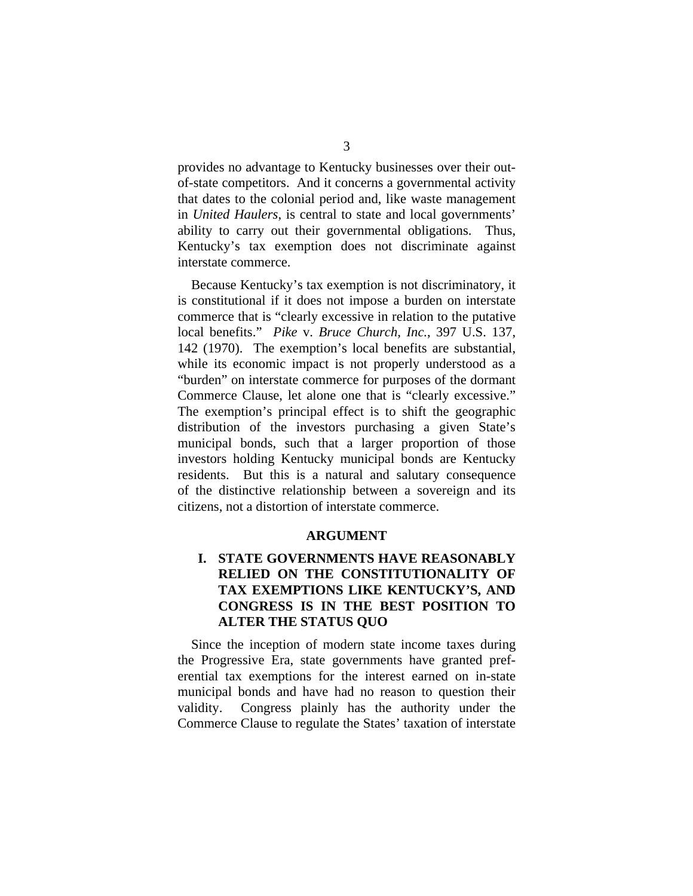provides no advantage to Kentucky businesses over their outof-state competitors. And it concerns a governmental activity that dates to the colonial period and, like waste management in *United Haulers*, is central to state and local governments' ability to carry out their governmental obligations. Thus, Kentucky's tax exemption does not discriminate against interstate commerce.

Because Kentucky's tax exemption is not discriminatory, it is constitutional if it does not impose a burden on interstate commerce that is "clearly excessive in relation to the putative local benefits." *Pike* v. *Bruce Church, Inc.*, 397 U.S. 137, 142 (1970). The exemption's local benefits are substantial, while its economic impact is not properly understood as a "burden" on interstate commerce for purposes of the dormant Commerce Clause, let alone one that is "clearly excessive." The exemption's principal effect is to shift the geographic distribution of the investors purchasing a given State's municipal bonds, such that a larger proportion of those investors holding Kentucky municipal bonds are Kentucky residents. But this is a natural and salutary consequence of the distinctive relationship between a sovereign and its citizens, not a distortion of interstate commerce.

#### **ARGUMENT**

## **I. STATE GOVERNMENTS HAVE REASONABLY RELIED ON THE CONSTITUTIONALITY OF TAX EXEMPTIONS LIKE KENTUCKY'S, AND CONGRESS IS IN THE BEST POSITION TO ALTER THE STATUS QUO**

Since the inception of modern state income taxes during the Progressive Era, state governments have granted preferential tax exemptions for the interest earned on in-state municipal bonds and have had no reason to question their validity. Congress plainly has the authority under the Commerce Clause to regulate the States' taxation of interstate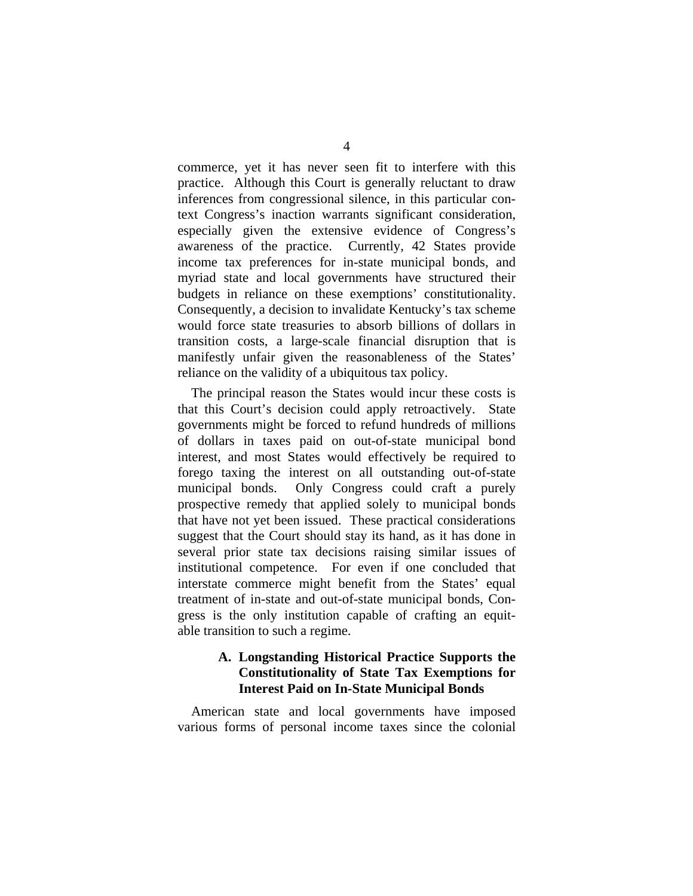commerce, yet it has never seen fit to interfere with this practice. Although this Court is generally reluctant to draw inferences from congressional silence, in this particular context Congress's inaction warrants significant consideration, especially given the extensive evidence of Congress's awareness of the practice. Currently, 42 States provide income tax preferences for in-state municipal bonds, and myriad state and local governments have structured their budgets in reliance on these exemptions' constitutionality. Consequently, a decision to invalidate Kentucky's tax scheme would force state treasuries to absorb billions of dollars in transition costs, a large-scale financial disruption that is manifestly unfair given the reasonableness of the States' reliance on the validity of a ubiquitous tax policy.

The principal reason the States would incur these costs is that this Court's decision could apply retroactively. State governments might be forced to refund hundreds of millions of dollars in taxes paid on out-of-state municipal bond interest, and most States would effectively be required to forego taxing the interest on all outstanding out-of-state municipal bonds. Only Congress could craft a purely prospective remedy that applied solely to municipal bonds that have not yet been issued. These practical considerations suggest that the Court should stay its hand, as it has done in several prior state tax decisions raising similar issues of institutional competence. For even if one concluded that interstate commerce might benefit from the States' equal treatment of in-state and out-of-state municipal bonds, Congress is the only institution capable of crafting an equitable transition to such a regime.

### **A. Longstanding Historical Practice Supports the Constitutionality of State Tax Exemptions for Interest Paid on In-State Municipal Bonds**

American state and local governments have imposed various forms of personal income taxes since the colonial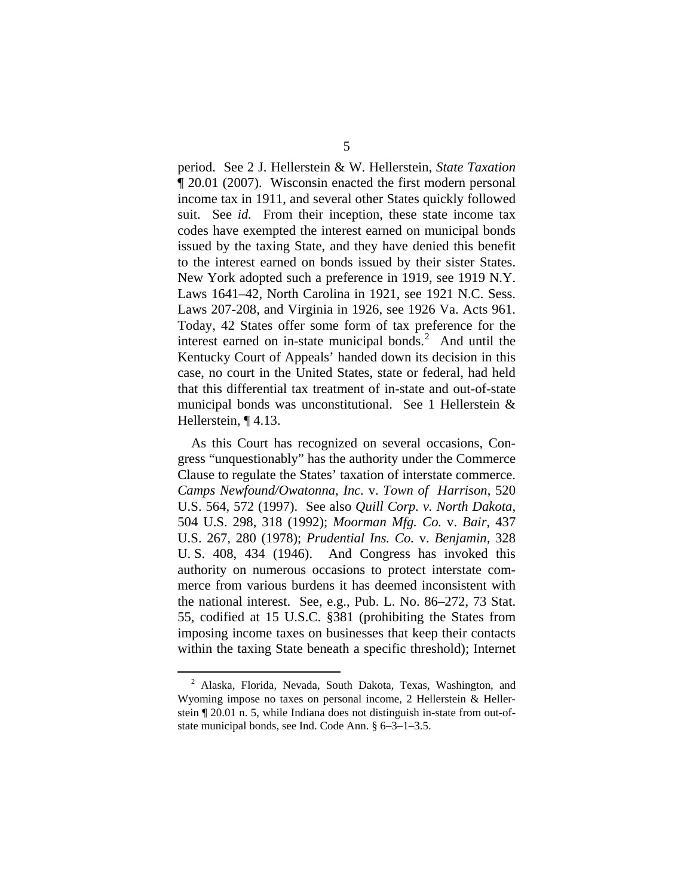period. See 2 J. Hellerstein & W. Hellerstein, *State Taxation*  ¶ 20.01 (2007). Wisconsin enacted the first modern personal income tax in 1911, and several other States quickly followed suit. See *id.* From their inception, these state income tax codes have exempted the interest earned on municipal bonds issued by the taxing State, and they have denied this benefit to the interest earned on bonds issued by their sister States. New York adopted such a preference in 1919, see 1919 N.Y. Laws 1641–42, North Carolina in 1921, see 1921 N.C. Sess. Laws 207-208, and Virginia in 1926, see 1926 Va. Acts 961. Today, 42 States offer some form of tax preference for the interest earned on in-state municipal bonds.<sup>[2](#page-12-0)</sup> And until the Kentucky Court of Appeals' handed down its decision in this case, no court in the United States, state or federal, had held that this differential tax treatment of in-state and out-of-state municipal bonds was unconstitutional. See 1 Hellerstein & Hellerstein, ¶ 4.13.

As this Court has recognized on several occasions, Congress "unquestionably" has the authority under the Commerce Clause to regulate the States' taxation of interstate commerce. *Camps Newfound/Owatonna, Inc.* v. *Town of Harrison*, 520 U.S. 564, 572 (1997). See also *Quill Corp. v. North Dakota*, 504 U.S. 298, 318 (1992); *Moorman Mfg. Co.* v. *Bair*, 437 U.S. 267, 280 (1978); *Prudential Ins. Co.* v. *Benjamin,* 328 U. S. 408, 434 (1946). And Congress has invoked this authority on numerous occasions to protect interstate commerce from various burdens it has deemed inconsistent with the national interest. See, e.g., Pub. L. No. 86–272, 73 Stat. 55, codified at 15 U.S.C. §381 (prohibiting the States from imposing income taxes on businesses that keep their contacts within the taxing State beneath a specific threshold); Internet

<span id="page-12-0"></span> <sup>2</sup> Alaska, Florida, Nevada, South Dakota, Texas, Washington, and Wyoming impose no taxes on personal income, 2 Hellerstein & Hellerstein ¶ 20.01 n. 5, while Indiana does not distinguish in-state from out-ofstate municipal bonds, see Ind. Code Ann. § 6–3–1–3.5.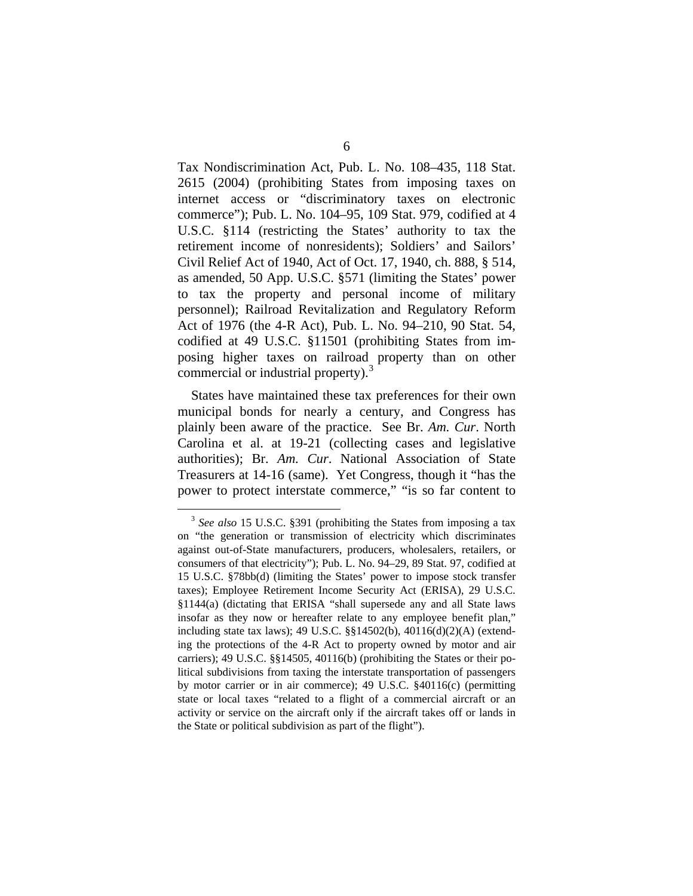Tax Nondiscrimination Act, Pub. L. No. 108–435, 118 Stat. 2615 (2004) (prohibiting States from imposing taxes on internet access or "discriminatory taxes on electronic commerce"); Pub. L. No. 104–95, 109 Stat. 979, codified at 4 U.S.C. §114 (restricting the States' authority to tax the retirement income of nonresidents); Soldiers' and Sailors' Civil Relief Act of 1940, Act of Oct. 17, 1940, ch. 888, § 514, as amended, 50 App. U.S.C. §571 (limiting the States' power to tax the property and personal income of military personnel); Railroad Revitalization and Regulatory Reform Act of 1976 (the 4-R Act), Pub. L. No. 94–210, 90 Stat. 54, codified at 49 U.S.C. §11501 (prohibiting States from imposing higher taxes on railroad property than on other commercial or industrial property).<sup>[3](#page-13-0)</sup>

States have maintained these tax preferences for their own municipal bonds for nearly a century, and Congress has plainly been aware of the practice. See Br. *Am. Cur*. North Carolina et al. at 19-21 (collecting cases and legislative authorities); Br. *Am. Cur*. National Association of State Treasurers at 14-16 (same). Yet Congress, though it "has the power to protect interstate commerce," "is so far content to

<span id="page-13-0"></span> <sup>3</sup> *See also* 15 U.S.C. §391 (prohibiting the States from imposing a tax on "the generation or transmission of electricity which discriminates against out-of-State manufacturers, producers, wholesalers, retailers, or consumers of that electricity"); Pub. L. No. 94–29, 89 Stat. 97, codified at 15 U.S.C. §78bb(d) (limiting the States' power to impose stock transfer taxes); Employee Retirement Income Security Act (ERISA), 29 U.S.C. §1144(a) (dictating that ERISA "shall supersede any and all State laws insofar as they now or hereafter relate to any employee benefit plan," including state tax laws); 49 U.S.C. §§14502(b), 40116(d)(2)(A) (extending the protections of the 4-R Act to property owned by motor and air carriers); 49 U.S.C. §§14505, 40116(b) (prohibiting the States or their political subdivisions from taxing the interstate transportation of passengers by motor carrier or in air commerce); 49 U.S.C. §40116(c) (permitting state or local taxes "related to a flight of a commercial aircraft or an activity or service on the aircraft only if the aircraft takes off or lands in the State or political subdivision as part of the flight").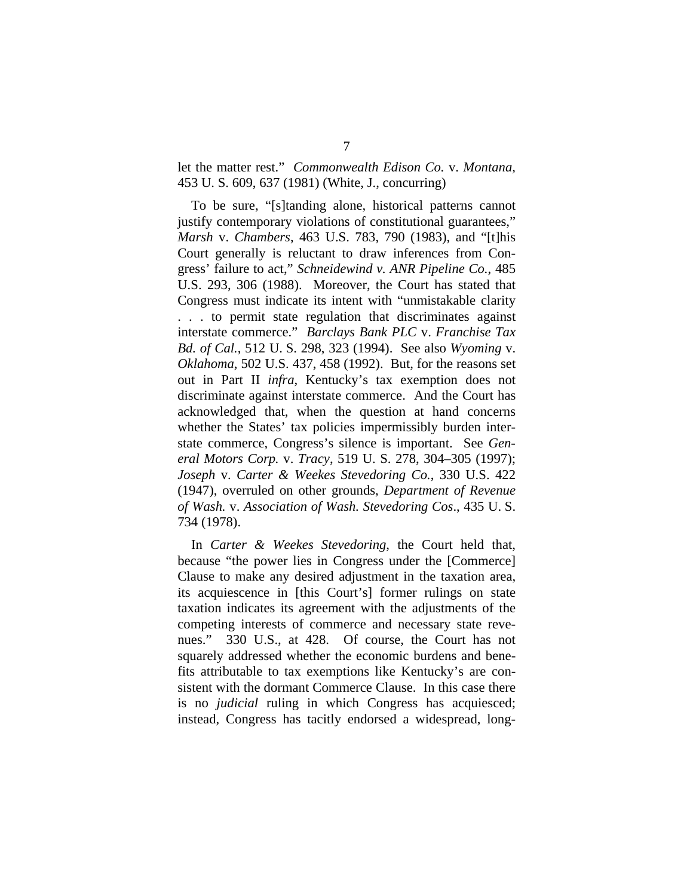let the matter rest." *Commonwealth Edison Co.* v. *Montana,* 453 U. S. 609, 637 (1981) (White, J., concurring)

To be sure, "[s]tanding alone, historical patterns cannot justify contemporary violations of constitutional guarantees," *Marsh* v. *Chambers*, 463 U.S. 783, 790 (1983), and "[t]his Court generally is reluctant to draw inferences from Congress' failure to act," *Schneidewind v. ANR Pipeline Co.*, 485 U.S. 293, 306 (1988). Moreover, the Court has stated that Congress must indicate its intent with "unmistakable clarity . . . to permit state regulation that discriminates against interstate commerce." *Barclays Bank PLC* v. *Franchise Tax Bd. of Cal.*, 512 U. S. 298, 323 (1994). See also *Wyoming* v. *Oklahoma*, 502 U.S. 437, 458 (1992). But, for the reasons set out in Part II *infra*, Kentucky's tax exemption does not discriminate against interstate commerce. And the Court has acknowledged that, when the question at hand concerns whether the States' tax policies impermissibly burden interstate commerce, Congress's silence is important. See *General Motors Corp.* v. *Tracy*, 519 U. S. 278, 304–305 (1997); *Joseph* v. *Carter & Weekes Stevedoring Co.*, 330 U.S. 422 (1947), overruled on other grounds, *Department of Revenue of Wash.* v. *Association of Wash. Stevedoring Cos*., 435 U. S. 734 (1978).

In *Carter & Weekes Stevedoring*, the Court held that, because "the power lies in Congress under the [Commerce] Clause to make any desired adjustment in the taxation area, its acquiescence in [this Court's] former rulings on state taxation indicates its agreement with the adjustments of the competing interests of commerce and necessary state revenues." 330 U.S., at 428. Of course, the Court has not squarely addressed whether the economic burdens and benefits attributable to tax exemptions like Kentucky's are consistent with the dormant Commerce Clause. In this case there is no *judicial* ruling in which Congress has acquiesced; instead, Congress has tacitly endorsed a widespread, long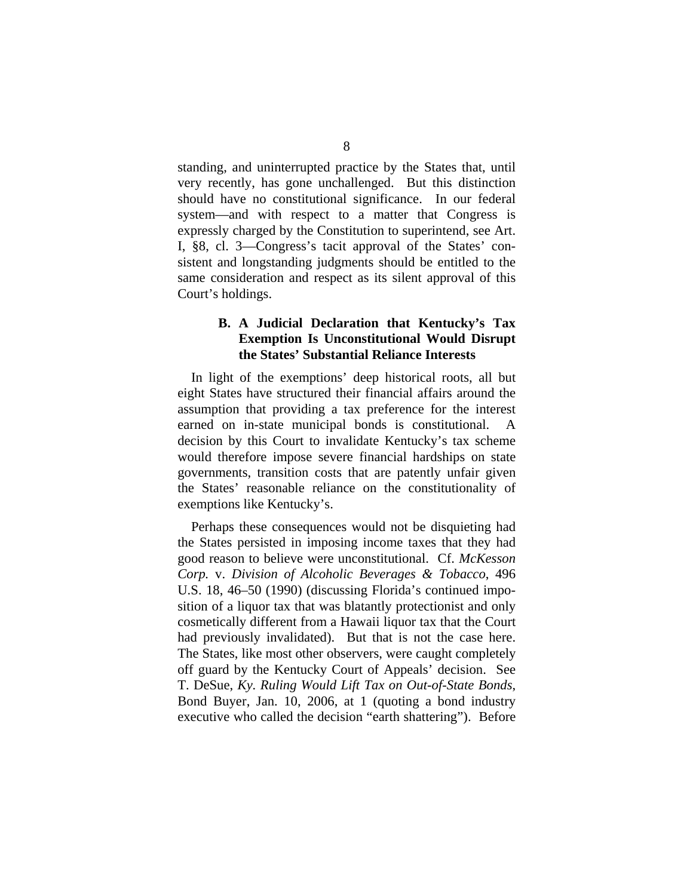standing, and uninterrupted practice by the States that, until very recently, has gone unchallenged. But this distinction should have no constitutional significance. In our federal system—and with respect to a matter that Congress is expressly charged by the Constitution to superintend, see Art. I, §8, cl. 3—Congress's tacit approval of the States' consistent and longstanding judgments should be entitled to the same consideration and respect as its silent approval of this Court's holdings.

## **B. A Judicial Declaration that Kentucky's Tax Exemption Is Unconstitutional Would Disrupt the States' Substantial Reliance Interests**

In light of the exemptions' deep historical roots, all but eight States have structured their financial affairs around the assumption that providing a tax preference for the interest earned on in-state municipal bonds is constitutional. A decision by this Court to invalidate Kentucky's tax scheme would therefore impose severe financial hardships on state governments, transition costs that are patently unfair given the States' reasonable reliance on the constitutionality of exemptions like Kentucky's.

Perhaps these consequences would not be disquieting had the States persisted in imposing income taxes that they had good reason to believe were unconstitutional. Cf. *McKesson Corp.* v. *Division of Alcoholic Beverages & Tobacco*, 496 U.S. 18, 46–50 (1990) (discussing Florida's continued imposition of a liquor tax that was blatantly protectionist and only cosmetically different from a Hawaii liquor tax that the Court had previously invalidated). But that is not the case here. The States, like most other observers, were caught completely off guard by the Kentucky Court of Appeals' decision. See T. DeSue, *Ky. Ruling Would Lift Tax on Out-of-State Bonds*, Bond Buyer, Jan. 10, 2006, at 1 (quoting a bond industry executive who called the decision "earth shattering"). Before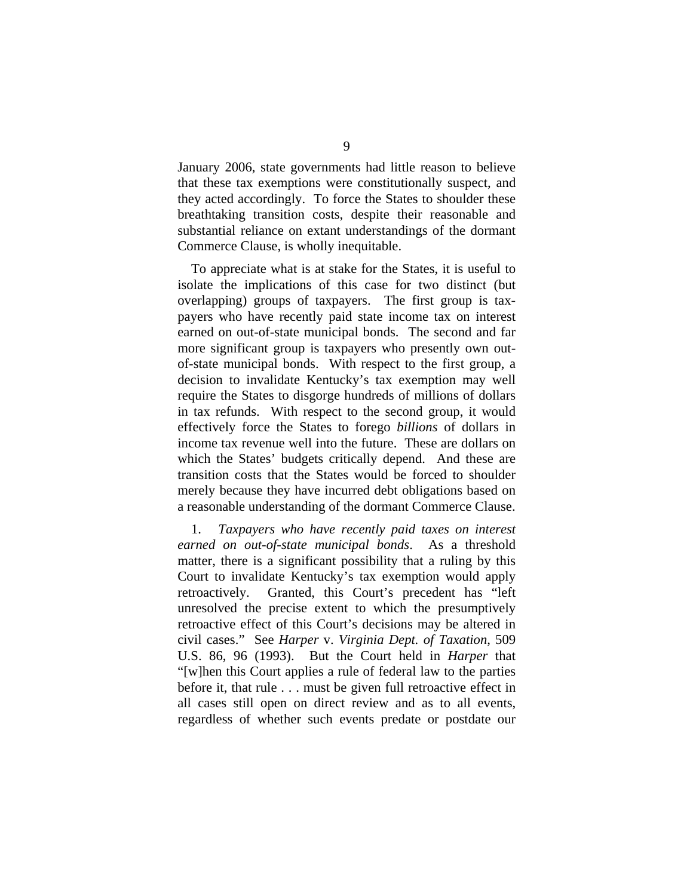January 2006, state governments had little reason to believe that these tax exemptions were constitutionally suspect, and they acted accordingly. To force the States to shoulder these breathtaking transition costs, despite their reasonable and substantial reliance on extant understandings of the dormant Commerce Clause, is wholly inequitable.

To appreciate what is at stake for the States, it is useful to isolate the implications of this case for two distinct (but overlapping) groups of taxpayers. The first group is taxpayers who have recently paid state income tax on interest earned on out-of-state municipal bonds. The second and far more significant group is taxpayers who presently own outof-state municipal bonds. With respect to the first group, a decision to invalidate Kentucky's tax exemption may well require the States to disgorge hundreds of millions of dollars in tax refunds. With respect to the second group, it would effectively force the States to forego *billions* of dollars in income tax revenue well into the future. These are dollars on which the States' budgets critically depend. And these are transition costs that the States would be forced to shoulder merely because they have incurred debt obligations based on a reasonable understanding of the dormant Commerce Clause.

1. *Taxpayers who have recently paid taxes on interest earned on out-of-state municipal bonds*. As a threshold matter, there is a significant possibility that a ruling by this Court to invalidate Kentucky's tax exemption would apply retroactively. Granted, this Court's precedent has "left unresolved the precise extent to which the presumptively retroactive effect of this Court's decisions may be altered in civil cases." See *Harper* v. *Virginia Dept. of Taxation*, 509 U.S. 86, 96 (1993). But the Court held in *Harper* that "[w]hen this Court applies a rule of federal law to the parties before it, that rule . . . must be given full retroactive effect in all cases still open on direct review and as to all events, regardless of whether such events predate or postdate our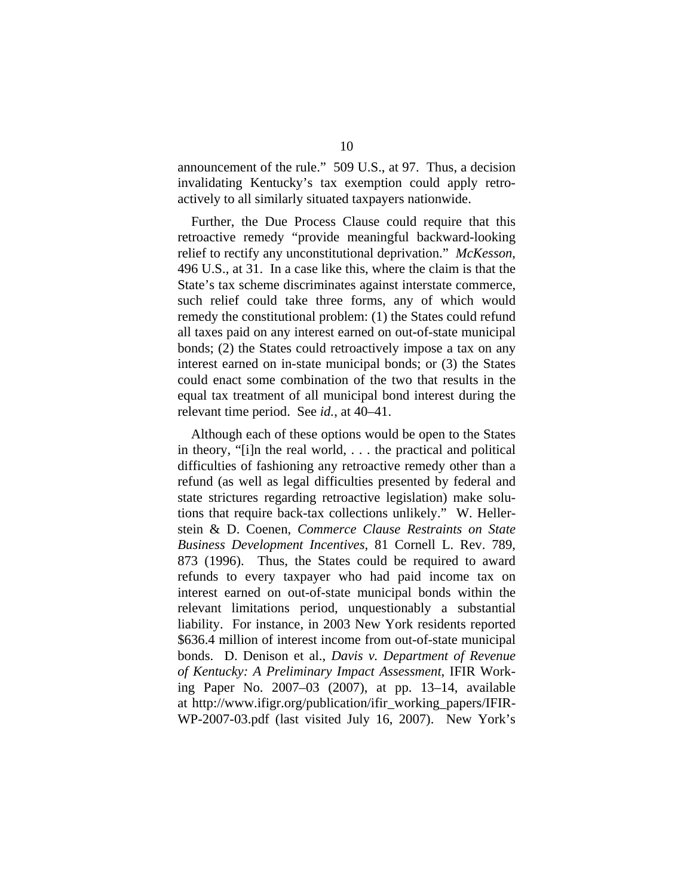announcement of the rule." 509 U.S., at 97. Thus, a decision invalidating Kentucky's tax exemption could apply retroactively to all similarly situated taxpayers nationwide.

Further, the Due Process Clause could require that this retroactive remedy "provide meaningful backward-looking relief to rectify any unconstitutional deprivation." *McKesson*, 496 U.S., at 31. In a case like this, where the claim is that the State's tax scheme discriminates against interstate commerce, such relief could take three forms, any of which would remedy the constitutional problem: (1) the States could refund all taxes paid on any interest earned on out-of-state municipal bonds; (2) the States could retroactively impose a tax on any interest earned on in-state municipal bonds; or (3) the States could enact some combination of the two that results in the equal tax treatment of all municipal bond interest during the relevant time period. See *id.*, at 40–41.

Although each of these options would be open to the States in theory, "[i]n the real world, . . . the practical and political difficulties of fashioning any retroactive remedy other than a refund (as well as legal difficulties presented by federal and state strictures regarding retroactive legislation) make solutions that require back-tax collections unlikely." W. Hellerstein & D. Coenen, *Commerce Clause Restraints on State Business Development Incentives*, 81 Cornell L. Rev. 789, 873 (1996). Thus, the States could be required to award refunds to every taxpayer who had paid income tax on interest earned on out-of-state municipal bonds within the relevant limitations period, unquestionably a substantial liability. For instance, in 2003 New York residents reported \$636.4 million of interest income from out-of-state municipal bonds. D. Denison et al., *Davis v. Department of Revenue of Kentucky: A Preliminary Impact Assessment*, IFIR Working Paper No. 2007–03 (2007), at pp. 13–14, available at http://www.ifigr.org/publication/ifir\_working\_papers/IFIR-WP-2007-03.pdf (last visited July 16, 2007). New York's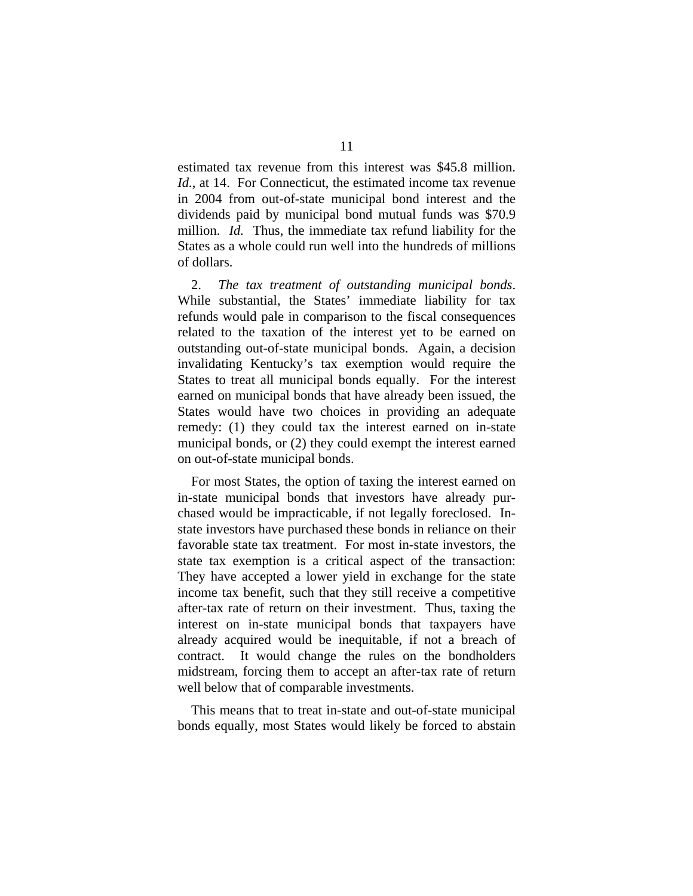estimated tax revenue from this interest was \$45.8 million. *Id.*, at 14. For Connecticut, the estimated income tax revenue in 2004 from out-of-state municipal bond interest and the dividends paid by municipal bond mutual funds was \$70.9 million. *Id.* Thus, the immediate tax refund liability for the States as a whole could run well into the hundreds of millions of dollars.

2. *The tax treatment of outstanding municipal bonds*. While substantial, the States' immediate liability for tax refunds would pale in comparison to the fiscal consequences related to the taxation of the interest yet to be earned on outstanding out-of-state municipal bonds. Again, a decision invalidating Kentucky's tax exemption would require the States to treat all municipal bonds equally. For the interest earned on municipal bonds that have already been issued, the States would have two choices in providing an adequate remedy: (1) they could tax the interest earned on in-state municipal bonds, or (2) they could exempt the interest earned on out-of-state municipal bonds.

For most States, the option of taxing the interest earned on in-state municipal bonds that investors have already purchased would be impracticable, if not legally foreclosed. Instate investors have purchased these bonds in reliance on their favorable state tax treatment. For most in-state investors, the state tax exemption is a critical aspect of the transaction: They have accepted a lower yield in exchange for the state income tax benefit, such that they still receive a competitive after-tax rate of return on their investment. Thus, taxing the interest on in-state municipal bonds that taxpayers have already acquired would be inequitable, if not a breach of contract. It would change the rules on the bondholders midstream, forcing them to accept an after-tax rate of return well below that of comparable investments.

This means that to treat in-state and out-of-state municipal bonds equally, most States would likely be forced to abstain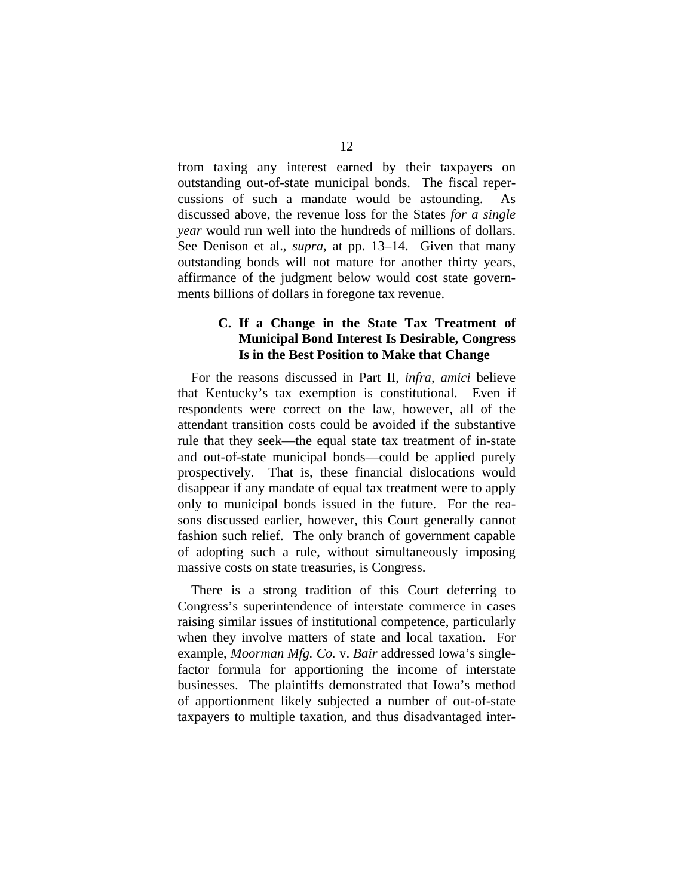from taxing any interest earned by their taxpayers on outstanding out-of-state municipal bonds. The fiscal repercussions of such a mandate would be astounding. As discussed above, the revenue loss for the States *for a single year* would run well into the hundreds of millions of dollars. See Denison et al., *supra*, at pp. 13–14. Given that many outstanding bonds will not mature for another thirty years, affirmance of the judgment below would cost state governments billions of dollars in foregone tax revenue.

## **C. If a Change in the State Tax Treatment of Municipal Bond Interest Is Desirable, Congress Is in the Best Position to Make that Change**

For the reasons discussed in Part II, *infra*, *amici* believe that Kentucky's tax exemption is constitutional. Even if respondents were correct on the law, however, all of the attendant transition costs could be avoided if the substantive rule that they seek—the equal state tax treatment of in-state and out-of-state municipal bonds—could be applied purely prospectively. That is, these financial dislocations would disappear if any mandate of equal tax treatment were to apply only to municipal bonds issued in the future. For the reasons discussed earlier, however, this Court generally cannot fashion such relief. The only branch of government capable of adopting such a rule, without simultaneously imposing massive costs on state treasuries, is Congress.

There is a strong tradition of this Court deferring to Congress's superintendence of interstate commerce in cases raising similar issues of institutional competence, particularly when they involve matters of state and local taxation. For example, *Moorman Mfg. Co.* v. *Bair* addressed Iowa's singlefactor formula for apportioning the income of interstate businesses. The plaintiffs demonstrated that Iowa's method of apportionment likely subjected a number of out-of-state taxpayers to multiple taxation, and thus disadvantaged inter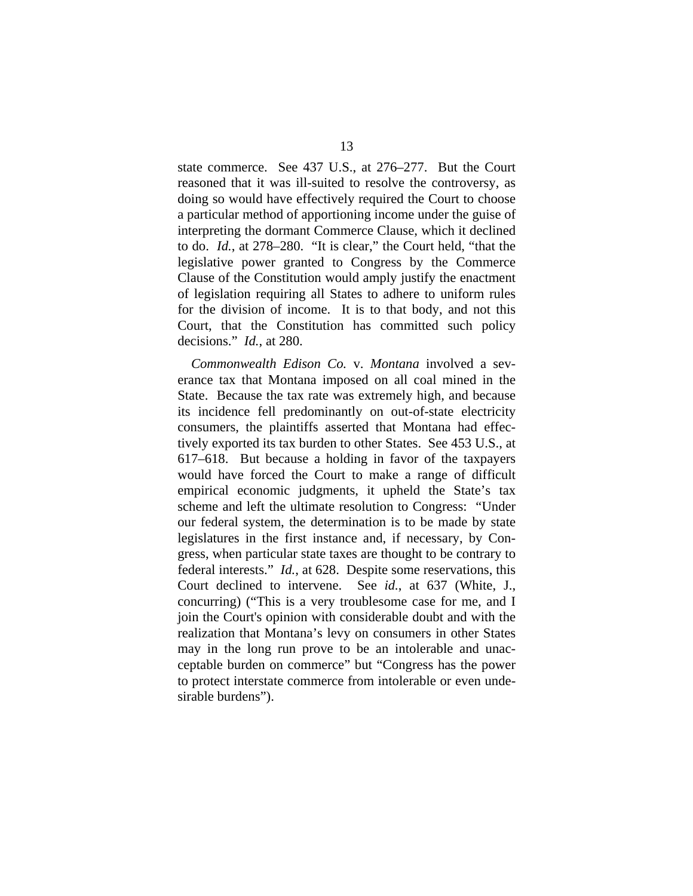state commerce. See 437 U.S., at 276–277. But the Court reasoned that it was ill-suited to resolve the controversy, as doing so would have effectively required the Court to choose a particular method of apportioning income under the guise of interpreting the dormant Commerce Clause, which it declined to do. *Id.*, at 278–280. "It is clear," the Court held, "that the legislative power granted to Congress by the Commerce Clause of the Constitution would amply justify the enactment of legislation requiring all States to adhere to uniform rules for the division of income. It is to that body, and not this Court, that the Constitution has committed such policy decisions." *Id.*, at 280.

*Commonwealth Edison Co.* v. *Montana* involved a severance tax that Montana imposed on all coal mined in the State. Because the tax rate was extremely high, and because its incidence fell predominantly on out-of-state electricity consumers, the plaintiffs asserted that Montana had effectively exported its tax burden to other States. See 453 U.S., at 617–618. But because a holding in favor of the taxpayers would have forced the Court to make a range of difficult empirical economic judgments, it upheld the State's tax scheme and left the ultimate resolution to Congress: "Under our federal system, the determination is to be made by state legislatures in the first instance and, if necessary, by Congress, when particular state taxes are thought to be contrary to federal interests." *Id.*, at 628. Despite some reservations, this Court declined to intervene. See *id.*, at 637 (White, J., concurring) ("This is a very troublesome case for me, and I join the Court's opinion with considerable doubt and with the realization that Montana's levy on consumers in other States may in the long run prove to be an intolerable and unacceptable burden on commerce" but "Congress has the power to protect interstate commerce from intolerable or even undesirable burdens").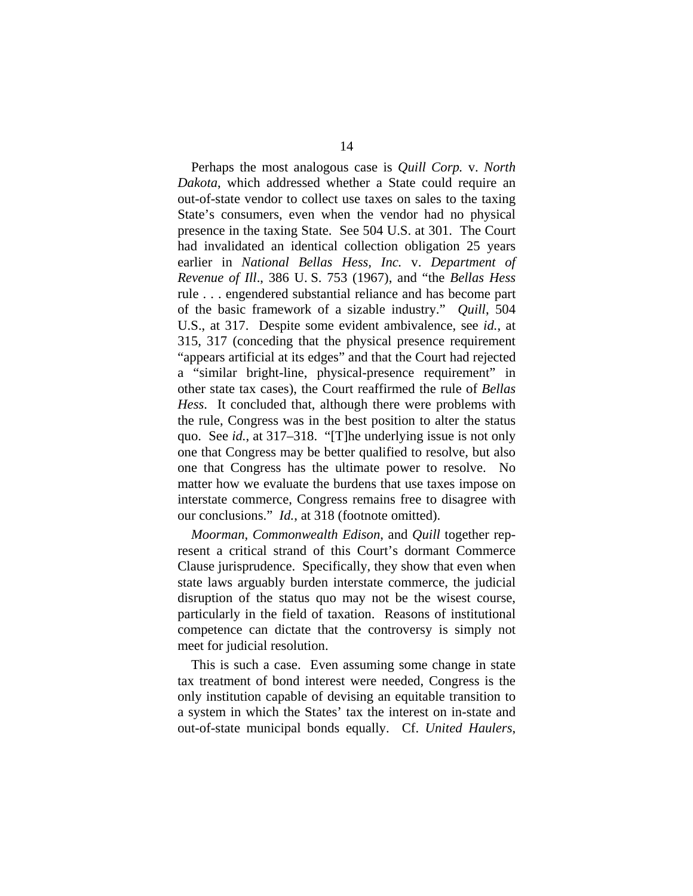Perhaps the most analogous case is *Quill Corp.* v. *North Dakota*, which addressed whether a State could require an out-of-state vendor to collect use taxes on sales to the taxing State's consumers, even when the vendor had no physical presence in the taxing State. See 504 U.S. at 301. The Court had invalidated an identical collection obligation 25 years earlier in *National Bellas Hess, Inc.* v. *Department of Revenue of Ill*., 386 U. S. 753 (1967), and "the *Bellas Hess*  rule . . . engendered substantial reliance and has become part of the basic framework of a sizable industry." *Quill*, 504 U.S., at 317. Despite some evident ambivalence, see *id.*, at 315, 317 (conceding that the physical presence requirement "appears artificial at its edges" and that the Court had rejected a "similar bright-line, physical-presence requirement" in other state tax cases), the Court reaffirmed the rule of *Bellas Hess*. It concluded that, although there were problems with the rule, Congress was in the best position to alter the status quo. See *id.*, at 317–318. "[T]he underlying issue is not only one that Congress may be better qualified to resolve, but also one that Congress has the ultimate power to resolve. No matter how we evaluate the burdens that use taxes impose on interstate commerce, Congress remains free to disagree with our conclusions." *Id.*, at 318 (footnote omitted).

*Moorman*, *Commonwealth Edison*, and *Quill* together represent a critical strand of this Court's dormant Commerce Clause jurisprudence. Specifically, they show that even when state laws arguably burden interstate commerce, the judicial disruption of the status quo may not be the wisest course, particularly in the field of taxation. Reasons of institutional competence can dictate that the controversy is simply not meet for judicial resolution.

This is such a case. Even assuming some change in state tax treatment of bond interest were needed, Congress is the only institution capable of devising an equitable transition to a system in which the States' tax the interest on in-state and out-of-state municipal bonds equally. Cf. *United Haulers*,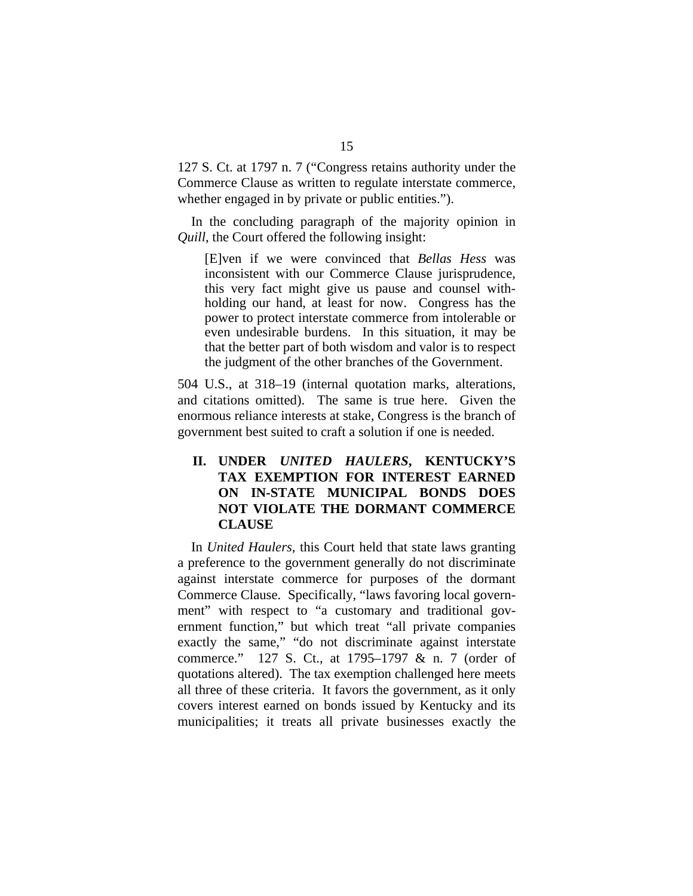127 S. Ct. at 1797 n. 7 ("Congress retains authority under the Commerce Clause as written to regulate interstate commerce, whether engaged in by private or public entities.").

In the concluding paragraph of the majority opinion in *Quill*, the Court offered the following insight:

[E]ven if we were convinced that *Bellas Hess* was inconsistent with our Commerce Clause jurisprudence, this very fact might give us pause and counsel withholding our hand, at least for now. Congress has the power to protect interstate commerce from intolerable or even undesirable burdens. In this situation, it may be that the better part of both wisdom and valor is to respect the judgment of the other branches of the Government.

504 U.S., at 318–19 (internal quotation marks, alterations, and citations omitted). The same is true here. Given the enormous reliance interests at stake, Congress is the branch of government best suited to craft a solution if one is needed.

# **II. UNDER** *UNITED HAULERS***, KENTUCKY'S TAX EXEMPTION FOR INTEREST EARNED ON IN-STATE MUNICIPAL BONDS DOES NOT VIOLATE THE DORMANT COMMERCE CLAUSE**

In *United Haulers*, this Court held that state laws granting a preference to the government generally do not discriminate against interstate commerce for purposes of the dormant Commerce Clause. Specifically, "laws favoring local government" with respect to "a customary and traditional government function," but which treat "all private companies exactly the same," "do not discriminate against interstate commerce." 127 S. Ct., at 1795–1797 & n. 7 (order of quotations altered). The tax exemption challenged here meets all three of these criteria. It favors the government, as it only covers interest earned on bonds issued by Kentucky and its municipalities; it treats all private businesses exactly the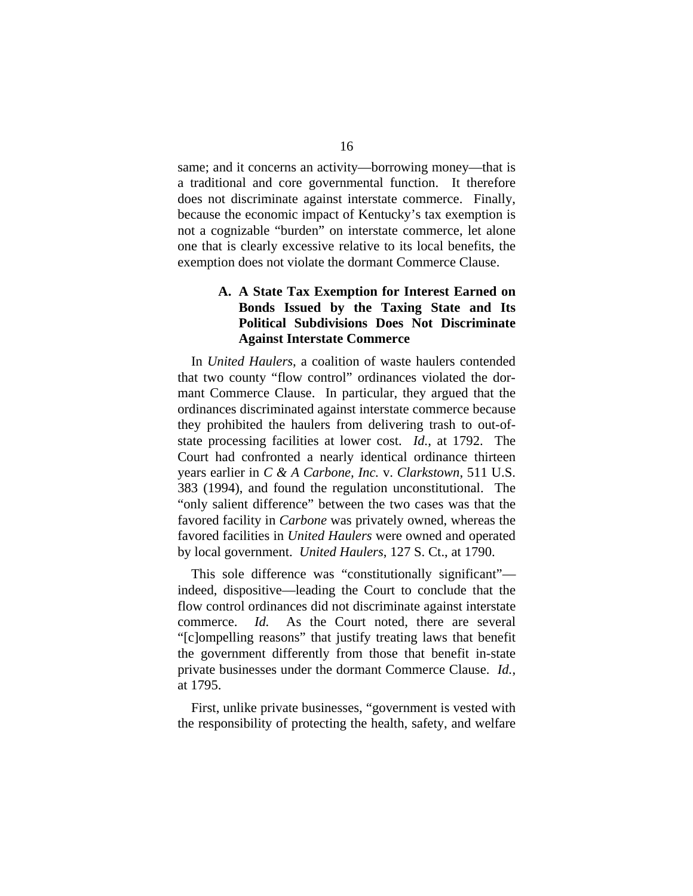same; and it concerns an activity—borrowing money—that is a traditional and core governmental function. It therefore does not discriminate against interstate commerce. Finally, because the economic impact of Kentucky's tax exemption is not a cognizable "burden" on interstate commerce, let alone one that is clearly excessive relative to its local benefits, the exemption does not violate the dormant Commerce Clause.

## **A. A State Tax Exemption for Interest Earned on Bonds Issued by the Taxing State and Its Political Subdivisions Does Not Discriminate Against Interstate Commerce**

In *United Haulers*, a coalition of waste haulers contended that two county "flow control" ordinances violated the dormant Commerce Clause. In particular, they argued that the ordinances discriminated against interstate commerce because they prohibited the haulers from delivering trash to out-ofstate processing facilities at lower cost. *Id.*, at 1792. The Court had confronted a nearly identical ordinance thirteen years earlier in *C & A Carbone, Inc.* v. *Clarkstown*, 511 U.S. 383 (1994), and found the regulation unconstitutional. The "only salient difference" between the two cases was that the favored facility in *Carbone* was privately owned, whereas the favored facilities in *United Haulers* were owned and operated by local government. *United Haulers*, 127 S. Ct., at 1790.

This sole difference was "constitutionally significant" indeed, dispositive—leading the Court to conclude that the flow control ordinances did not discriminate against interstate commerce. *Id.* As the Court noted, there are several "[c]ompelling reasons" that justify treating laws that benefit the government differently from those that benefit in-state private businesses under the dormant Commerce Clause. *Id.*, at 1795.

First, unlike private businesses, "government is vested with the responsibility of protecting the health, safety, and welfare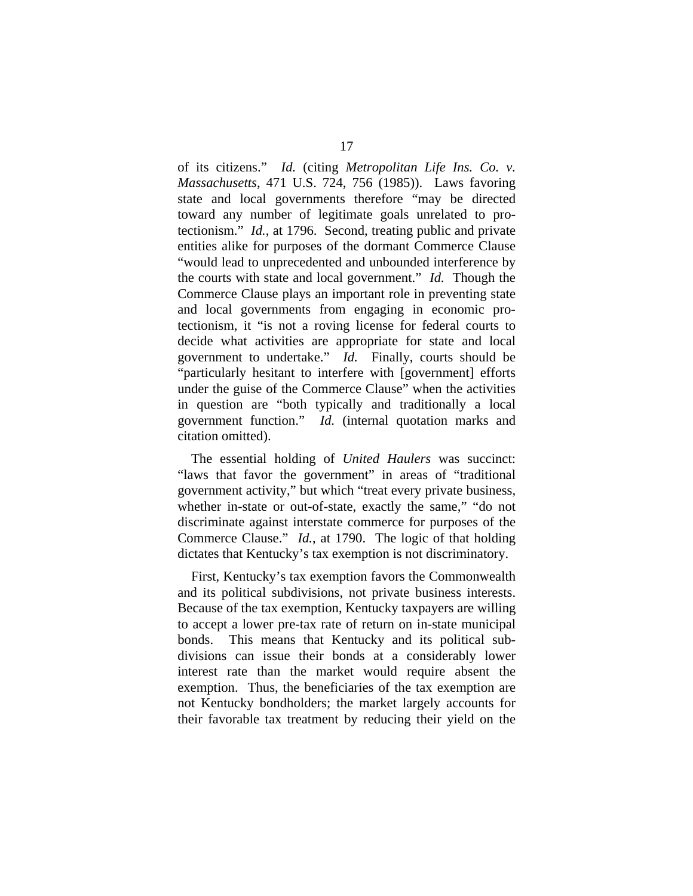of its citizens." *Id.* (citing *Metropolitan Life Ins. Co. v. Massachusetts*, 471 U.S. 724, 756 (1985)). Laws favoring state and local governments therefore "may be directed toward any number of legitimate goals unrelated to protectionism." *Id.*, at 1796. Second, treating public and private entities alike for purposes of the dormant Commerce Clause "would lead to unprecedented and unbounded interference by the courts with state and local government." *Id.* Though the Commerce Clause plays an important role in preventing state and local governments from engaging in economic protectionism, it "is not a roving license for federal courts to decide what activities are appropriate for state and local government to undertake." *Id.* Finally, courts should be "particularly hesitant to interfere with [government] efforts under the guise of the Commerce Clause" when the activities in question are "both typically and traditionally a local government function." *Id.* (internal quotation marks and citation omitted).

The essential holding of *United Haulers* was succinct: "laws that favor the government" in areas of "traditional government activity," but which "treat every private business, whether in-state or out-of-state, exactly the same," "do not discriminate against interstate commerce for purposes of the Commerce Clause." *Id.*, at 1790. The logic of that holding dictates that Kentucky's tax exemption is not discriminatory.

First, Kentucky's tax exemption favors the Commonwealth and its political subdivisions, not private business interests. Because of the tax exemption, Kentucky taxpayers are willing to accept a lower pre-tax rate of return on in-state municipal bonds. This means that Kentucky and its political subdivisions can issue their bonds at a considerably lower interest rate than the market would require absent the exemption. Thus, the beneficiaries of the tax exemption are not Kentucky bondholders; the market largely accounts for their favorable tax treatment by reducing their yield on the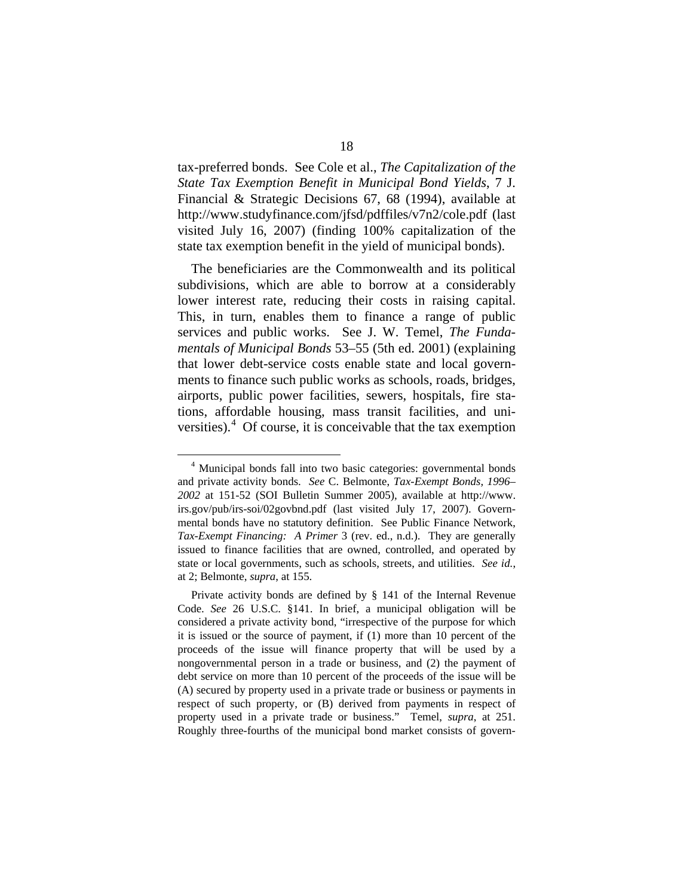tax-preferred bonds. See Cole et al., *The Capitalization of the State Tax Exemption Benefit in Municipal Bond Yields*, 7 J. Financial & Strategic Decisions 67, 68 (1994), available at http://www.studyfinance.com/jfsd/pdffiles/v7n2/cole.pdf (last visited July 16, 2007) (finding 100% capitalization of the state tax exemption benefit in the yield of municipal bonds).

The beneficiaries are the Commonwealth and its political subdivisions, which are able to borrow at a considerably lower interest rate, reducing their costs in raising capital. This, in turn, enables them to finance a range of public services and public works. See J. W. Temel, *The Fundamentals of Municipal Bonds* 53–55 (5th ed. 2001) (explaining that lower debt-service costs enable state and local governments to finance such public works as schools, roads, bridges, airports, public power facilities, sewers, hospitals, fire stations, affordable housing, mass transit facilities, and uni-versities).<sup>[4](#page-25-0)</sup> Of course, it is conceivable that the tax exemption

<span id="page-25-0"></span> <sup>4</sup> Municipal bonds fall into two basic categories: governmental bonds and private activity bonds. *See* C. Belmonte, *Tax-Exempt Bonds, 1996– 2002* at 151-52 (SOI Bulletin Summer 2005), available at http://www. irs.gov/pub/irs-soi/02govbnd.pdf (last visited July 17, 2007). Governmental bonds have no statutory definition. See Public Finance Network, *Tax-Exempt Financing: A Primer* 3 (rev. ed., n.d.). They are generally issued to finance facilities that are owned, controlled, and operated by state or local governments, such as schools, streets, and utilities. *See id.*, at 2; Belmonte, *supra*, at 155.

Private activity bonds are defined by § 141 of the Internal Revenue Code. *See* 26 U.S.C. §141. In brief, a municipal obligation will be considered a private activity bond, "irrespective of the purpose for which it is issued or the source of payment, if (1) more than 10 percent of the proceeds of the issue will finance property that will be used by a nongovernmental person in a trade or business, and (2) the payment of debt service on more than 10 percent of the proceeds of the issue will be (A) secured by property used in a private trade or business or payments in respect of such property, or (B) derived from payments in respect of property used in a private trade or business." Temel, *supra*, at 251. Roughly three-fourths of the municipal bond market consists of govern-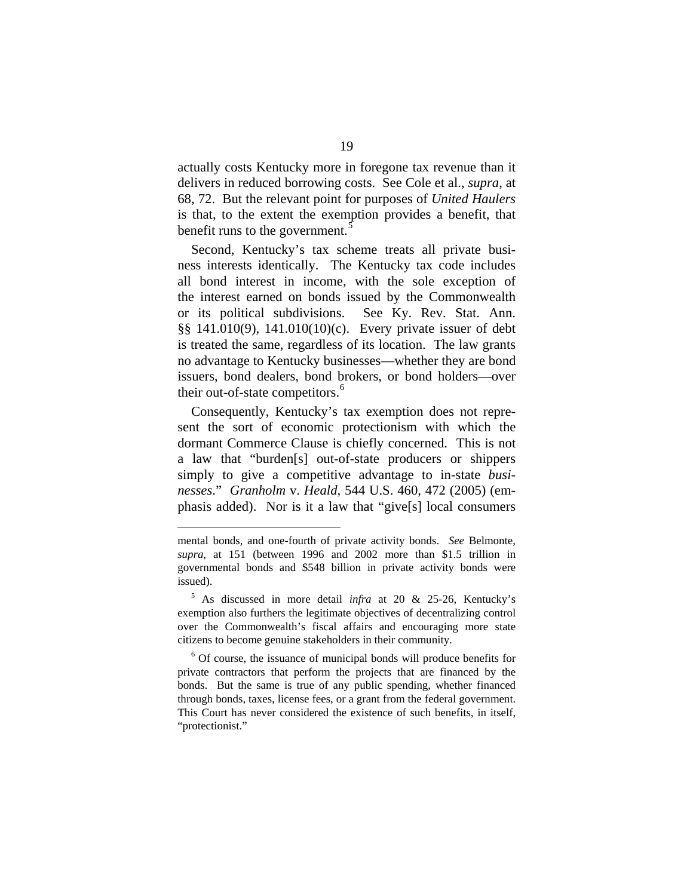actually costs Kentucky more in foregone tax revenue than it delivers in reduced borrowing costs. See Cole et al., *supra*, at 68, 72. But the relevant point for purposes of *United Haulers* is that, to the extent the exemption provides a benefit, that benefit runs to the government.<sup>[5](#page-26-0)</sup>

Second, Kentucky's tax scheme treats all private business interests identically. The Kentucky tax code includes all bond interest in income, with the sole exception of the interest earned on bonds issued by the Commonwealth or its political subdivisions. See Ky. Rev. Stat. Ann. §§ 141.010(9), 141.010(10)(c). Every private issuer of debt is treated the same, regardless of its location. The law grants no advantage to Kentucky businesses—whether they are bond issuers, bond dealers, bond brokers, or bond holders—over their out-of-state competitors.<sup>[6](#page-26-1)</sup>

Consequently, Kentucky's tax exemption does not represent the sort of economic protectionism with which the dormant Commerce Clause is chiefly concerned. This is not a law that "burden[s] out-of-state producers or shippers simply to give a competitive advantage to in-state *businesses*." *Granholm* v. *Heald*, 544 U.S. 460, 472 (2005) (emphasis added). Nor is it a law that "give[s] local consumers

1

mental bonds, and one-fourth of private activity bonds. *See* Belmonte, *supra*, at 151 (between 1996 and 2002 more than \$1.5 trillion in governmental bonds and \$548 billion in private activity bonds were issued).

<span id="page-26-0"></span><sup>5</sup> As discussed in more detail *infra* at 20 & 25-26, Kentucky's exemption also furthers the legitimate objectives of decentralizing control over the Commonwealth's fiscal affairs and encouraging more state citizens to become genuine stakeholders in their community.

<span id="page-26-1"></span><sup>&</sup>lt;sup>6</sup> Of course, the issuance of municipal bonds will produce benefits for private contractors that perform the projects that are financed by the bonds. But the same is true of any public spending, whether financed through bonds, taxes, license fees, or a grant from the federal government. This Court has never considered the existence of such benefits, in itself, "protectionist."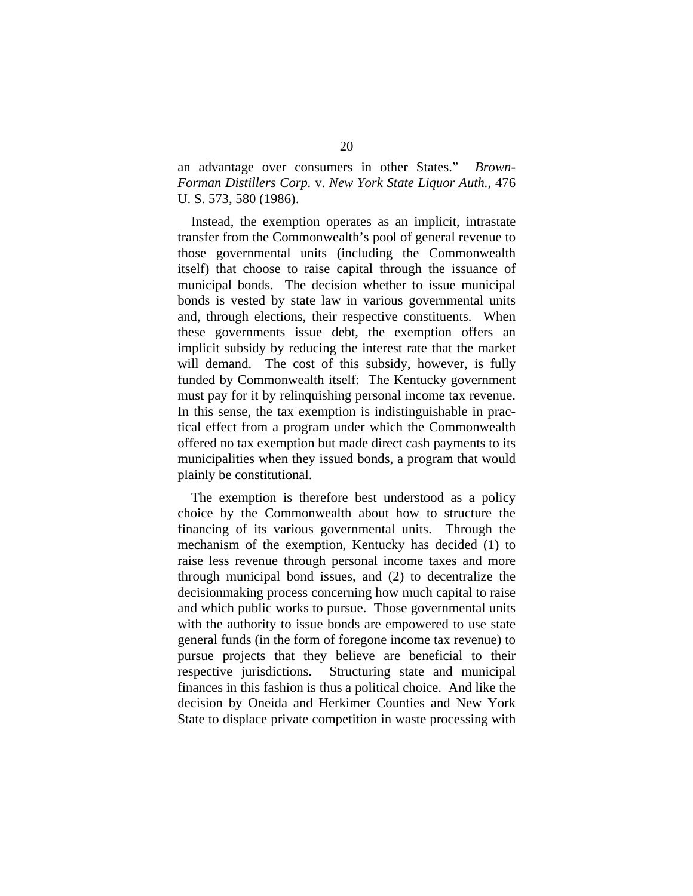an advantage over consumers in other States." *Brown-Forman Distillers Corp.* v. *New York State Liquor Auth.*, 476 U. S. 573, 580 (1986).

Instead, the exemption operates as an implicit, intrastate transfer from the Commonwealth's pool of general revenue to those governmental units (including the Commonwealth itself) that choose to raise capital through the issuance of municipal bonds. The decision whether to issue municipal bonds is vested by state law in various governmental units and, through elections, their respective constituents. When these governments issue debt, the exemption offers an implicit subsidy by reducing the interest rate that the market will demand. The cost of this subsidy, however, is fully funded by Commonwealth itself: The Kentucky government must pay for it by relinquishing personal income tax revenue. In this sense, the tax exemption is indistinguishable in practical effect from a program under which the Commonwealth offered no tax exemption but made direct cash payments to its municipalities when they issued bonds, a program that would plainly be constitutional.

The exemption is therefore best understood as a policy choice by the Commonwealth about how to structure the financing of its various governmental units. Through the mechanism of the exemption, Kentucky has decided (1) to raise less revenue through personal income taxes and more through municipal bond issues, and (2) to decentralize the decisionmaking process concerning how much capital to raise and which public works to pursue. Those governmental units with the authority to issue bonds are empowered to use state general funds (in the form of foregone income tax revenue) to pursue projects that they believe are beneficial to their respective jurisdictions. Structuring state and municipal finances in this fashion is thus a political choice. And like the decision by Oneida and Herkimer Counties and New York State to displace private competition in waste processing with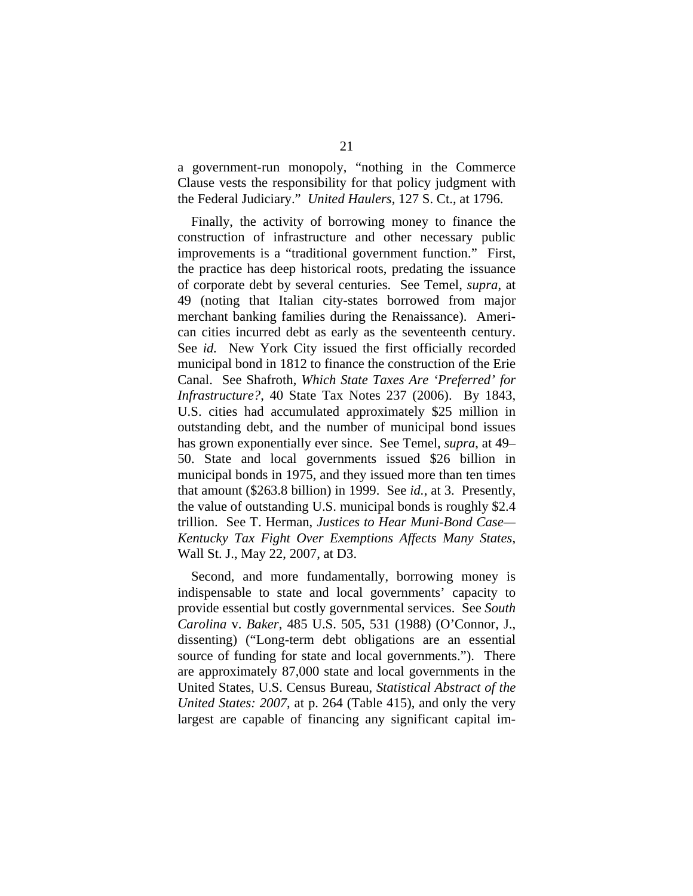a government-run monopoly, "nothing in the Commerce Clause vests the responsibility for that policy judgment with the Federal Judiciary." *United Haulers*, 127 S. Ct., at 1796.

Finally, the activity of borrowing money to finance the construction of infrastructure and other necessary public improvements is a "traditional government function." First, the practice has deep historical roots, predating the issuance of corporate debt by several centuries. See Temel, *supra*, at 49 (noting that Italian city-states borrowed from major merchant banking families during the Renaissance). American cities incurred debt as early as the seventeenth century. See *id.* New York City issued the first officially recorded municipal bond in 1812 to finance the construction of the Erie Canal. See Shafroth, *Which State Taxes Are 'Preferred' for Infrastructure?*, 40 State Tax Notes 237 (2006). By 1843, U.S. cities had accumulated approximately \$25 million in outstanding debt, and the number of municipal bond issues has grown exponentially ever since. See Temel*, supra*, at 49– 50. State and local governments issued \$26 billion in municipal bonds in 1975, and they issued more than ten times that amount (\$263.8 billion) in 1999. See *id.*, at 3. Presently, the value of outstanding U.S. municipal bonds is roughly \$2.4 trillion. See T. Herman, *Justices to Hear Muni-Bond Case— Kentucky Tax Fight Over Exemptions Affects Many States*, Wall St. J., May 22, 2007, at D3.

Second, and more fundamentally, borrowing money is indispensable to state and local governments' capacity to provide essential but costly governmental services. See *South Carolina* v. *Baker*, 485 U.S. 505, 531 (1988) (O'Connor, J., dissenting) ("Long-term debt obligations are an essential source of funding for state and local governments."). There are approximately 87,000 state and local governments in the United States, U.S. Census Bureau, *Statistical Abstract of the United States: 2007*, at p. 264 (Table 415), and only the very largest are capable of financing any significant capital im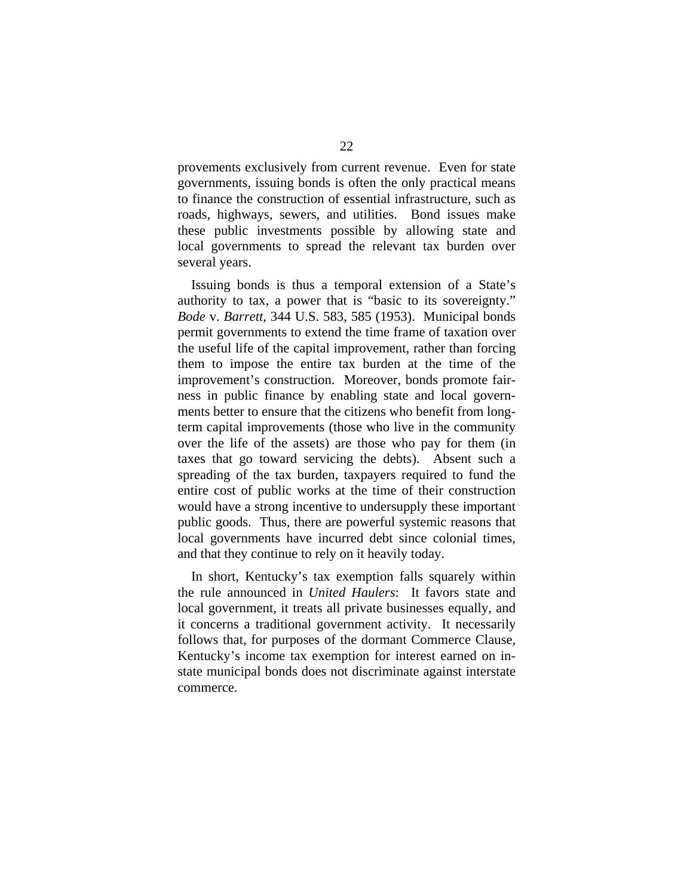provements exclusively from current revenue. Even for state governments, issuing bonds is often the only practical means to finance the construction of essential infrastructure, such as roads, highways, sewers, and utilities. Bond issues make these public investments possible by allowing state and local governments to spread the relevant tax burden over several years.

Issuing bonds is thus a temporal extension of a State's authority to tax, a power that is "basic to its sovereignty." *Bode* v. *Barrett*, 344 U.S. 583, 585 (1953). Municipal bonds permit governments to extend the time frame of taxation over the useful life of the capital improvement, rather than forcing them to impose the entire tax burden at the time of the improvement's construction. Moreover, bonds promote fairness in public finance by enabling state and local governments better to ensure that the citizens who benefit from longterm capital improvements (those who live in the community over the life of the assets) are those who pay for them (in taxes that go toward servicing the debts). Absent such a spreading of the tax burden, taxpayers required to fund the entire cost of public works at the time of their construction would have a strong incentive to undersupply these important public goods. Thus, there are powerful systemic reasons that local governments have incurred debt since colonial times, and that they continue to rely on it heavily today.

In short, Kentucky's tax exemption falls squarely within the rule announced in *United Haulers*: It favors state and local government, it treats all private businesses equally, and it concerns a traditional government activity. It necessarily follows that, for purposes of the dormant Commerce Clause, Kentucky's income tax exemption for interest earned on instate municipal bonds does not discriminate against interstate commerce.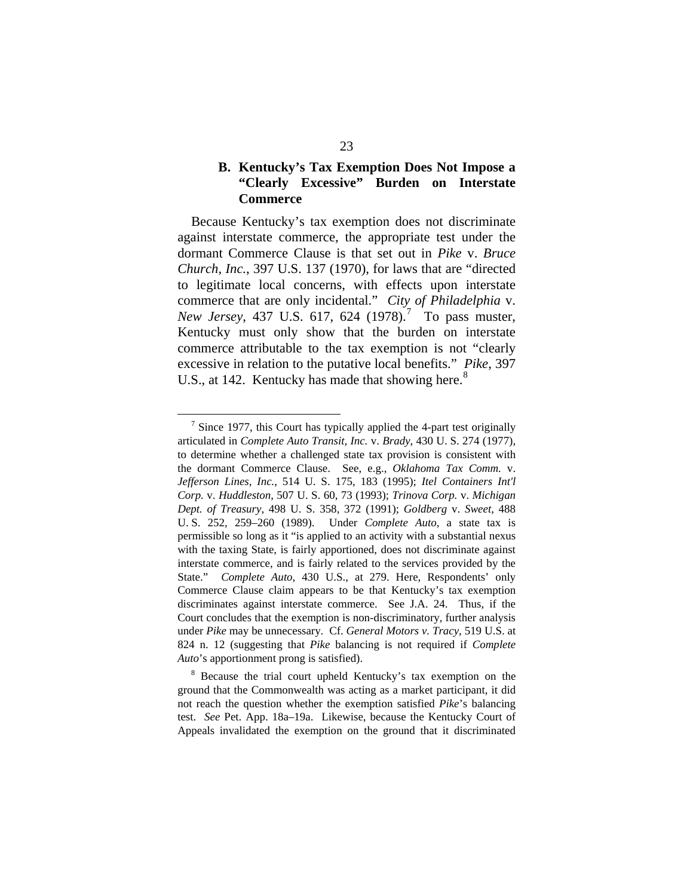## **B. Kentucky's Tax Exemption Does Not Impose a "Clearly Excessive" Burden on Interstate Commerce**

Because Kentucky's tax exemption does not discriminate against interstate commerce, the appropriate test under the dormant Commerce Clause is that set out in *Pike* v. *Bruce Church, Inc.*, 397 U.S. 137 (1970), for laws that are "directed to legitimate local concerns, with effects upon interstate commerce that are only incidental." *City of Philadelphia* v. *New Jersey*, 43[7](#page-30-0) U.S. 617, 624 (1978).<sup>7</sup> To pass muster, Kentucky must only show that the burden on interstate commerce attributable to the tax exemption is not "clearly excessive in relation to the putative local benefits." *Pike*, 397 U.S., at 142. Kentucky has made that showing here.<sup>[8](#page-30-1)</sup>

<span id="page-30-0"></span><sup>&</sup>lt;sup>7</sup> Since 1977, this Court has typically applied the 4-part test originally articulated in *Complete Auto Transit, Inc.* v. *Brady*, 430 U. S. 274 (1977), to determine whether a challenged state tax provision is consistent with the dormant Commerce Clause. See, e.g., *Oklahoma Tax Comm.* v. *Jefferson Lines, Inc.*, 514 U. S. 175, 183 (1995); *Itel Containers Int'l Corp.* v. *Huddleston*, 507 U. S. 60, 73 (1993); *Trinova Corp.* v. *Michigan Dept. of Treasury*, 498 U. S. 358, 372 (1991); *Goldberg* v. *Sweet*, 488 U. S. 252, 259–260 (1989). Under *Complete Auto*, a state tax is permissible so long as it "is applied to an activity with a substantial nexus with the taxing State, is fairly apportioned, does not discriminate against interstate commerce, and is fairly related to the services provided by the State." *Complete Auto*, 430 U.S., at 279. Here, Respondents' only Commerce Clause claim appears to be that Kentucky's tax exemption discriminates against interstate commerce. See J.A. 24. Thus, if the Court concludes that the exemption is non-discriminatory, further analysis under *Pike* may be unnecessary. Cf. *General Motors v. Tracy*, 519 U.S. at 824 n. 12 (suggesting that *Pike* balancing is not required if *Complete Auto*'s apportionment prong is satisfied).

<span id="page-30-1"></span><sup>&</sup>lt;sup>8</sup> Because the trial court upheld Kentucky's tax exemption on the ground that the Commonwealth was acting as a market participant, it did not reach the question whether the exemption satisfied *Pike*'s balancing test. *See* Pet. App. 18a–19a. Likewise, because the Kentucky Court of Appeals invalidated the exemption on the ground that it discriminated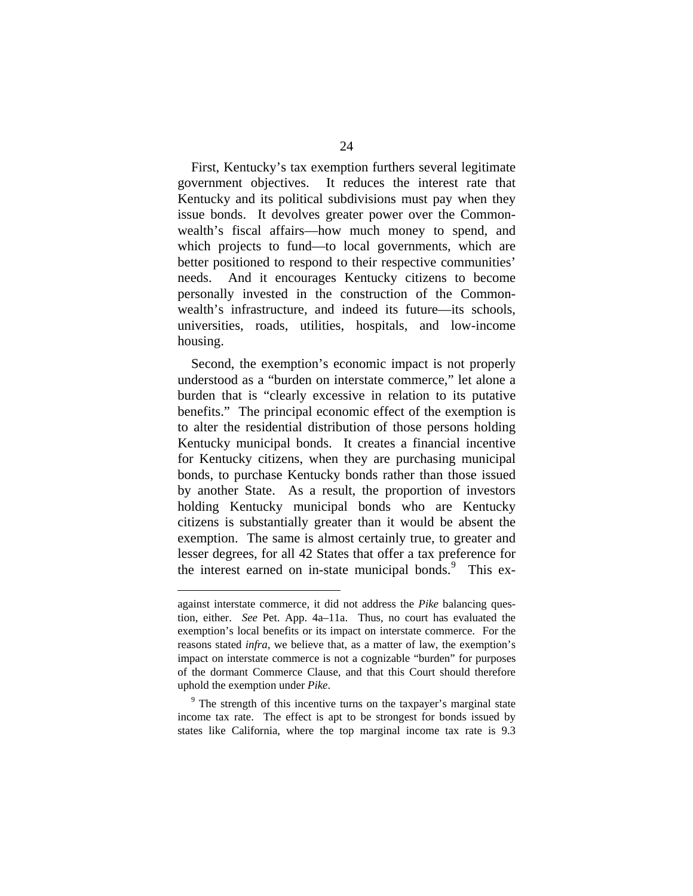First, Kentucky's tax exemption furthers several legitimate government objectives. It reduces the interest rate that Kentucky and its political subdivisions must pay when they issue bonds. It devolves greater power over the Commonwealth's fiscal affairs—how much money to spend, and which projects to fund—to local governments, which are better positioned to respond to their respective communities' needs. And it encourages Kentucky citizens to become personally invested in the construction of the Commonwealth's infrastructure, and indeed its future—its schools, universities, roads, utilities, hospitals, and low-income housing.

Second, the exemption's economic impact is not properly understood as a "burden on interstate commerce," let alone a burden that is "clearly excessive in relation to its putative benefits." The principal economic effect of the exemption is to alter the residential distribution of those persons holding Kentucky municipal bonds. It creates a financial incentive for Kentucky citizens, when they are purchasing municipal bonds, to purchase Kentucky bonds rather than those issued by another State. As a result, the proportion of investors holding Kentucky municipal bonds who are Kentucky citizens is substantially greater than it would be absent the exemption. The same is almost certainly true, to greater and lesser degrees, for all 42 States that offer a tax preference for the interest earned on in-state municipal bonds.<sup>[9](#page-31-0)</sup> This ex-

1

against interstate commerce, it did not address the *Pike* balancing question, either. *See* Pet. App. 4a–11a. Thus, no court has evaluated the exemption's local benefits or its impact on interstate commerce. For the reasons stated *infra*, we believe that, as a matter of law, the exemption's impact on interstate commerce is not a cognizable "burden" for purposes of the dormant Commerce Clause, and that this Court should therefore uphold the exemption under *Pike*.

<span id="page-31-0"></span><sup>&</sup>lt;sup>9</sup> The strength of this incentive turns on the taxpayer's marginal state income tax rate. The effect is apt to be strongest for bonds issued by states like California, where the top marginal income tax rate is 9.3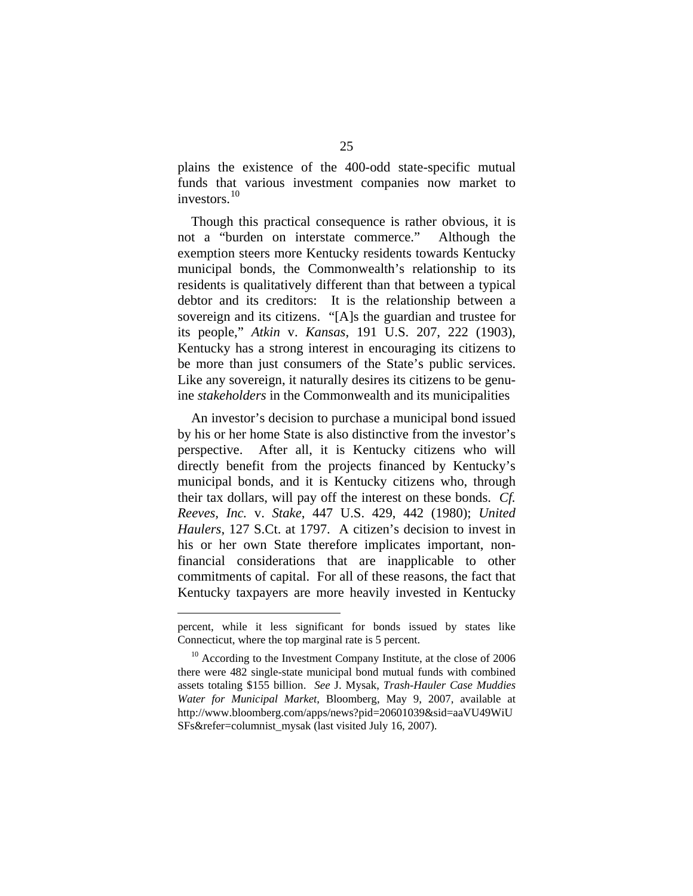plains the existence of the 400-odd state-specific mutual funds that various investment companies now market to investors. $10$ 

Though this practical consequence is rather obvious, it is not a "burden on interstate commerce." Although the exemption steers more Kentucky residents towards Kentucky municipal bonds, the Commonwealth's relationship to its residents is qualitatively different than that between a typical debtor and its creditors: It is the relationship between a sovereign and its citizens. "[A]s the guardian and trustee for its people," *Atkin* v. *Kansas*, 191 U.S. 207, 222 (1903), Kentucky has a strong interest in encouraging its citizens to be more than just consumers of the State's public services. Like any sovereign, it naturally desires its citizens to be genuine *stakeholders* in the Commonwealth and its municipalities

An investor's decision to purchase a municipal bond issued by his or her home State is also distinctive from the investor's perspective. After all, it is Kentucky citizens who will directly benefit from the projects financed by Kentucky's municipal bonds, and it is Kentucky citizens who, through their tax dollars, will pay off the interest on these bonds. *Cf. Reeves, Inc.* v. *Stake*, 447 U.S. 429, 442 (1980); *United Haulers*, 127 S.Ct. at 1797. A citizen's decision to invest in his or her own State therefore implicates important, nonfinancial considerations that are inapplicable to other commitments of capital. For all of these reasons, the fact that Kentucky taxpayers are more heavily invested in Kentucky

<u>.</u>

percent, while it less significant for bonds issued by states like Connecticut, where the top marginal rate is 5 percent.

<span id="page-32-0"></span><sup>&</sup>lt;sup>10</sup> According to the Investment Company Institute, at the close of 2006 there were 482 single-state municipal bond mutual funds with combined assets totaling \$155 billion. *See* J. Mysak, *Trash-Hauler Case Muddies Water for Municipal Market*, Bloomberg, May 9, 2007, available at http://www.bloomberg.com/apps/news?pid=20601039&sid=aaVU49WiU SFs&refer=columnist\_mysak (last visited July 16, 2007).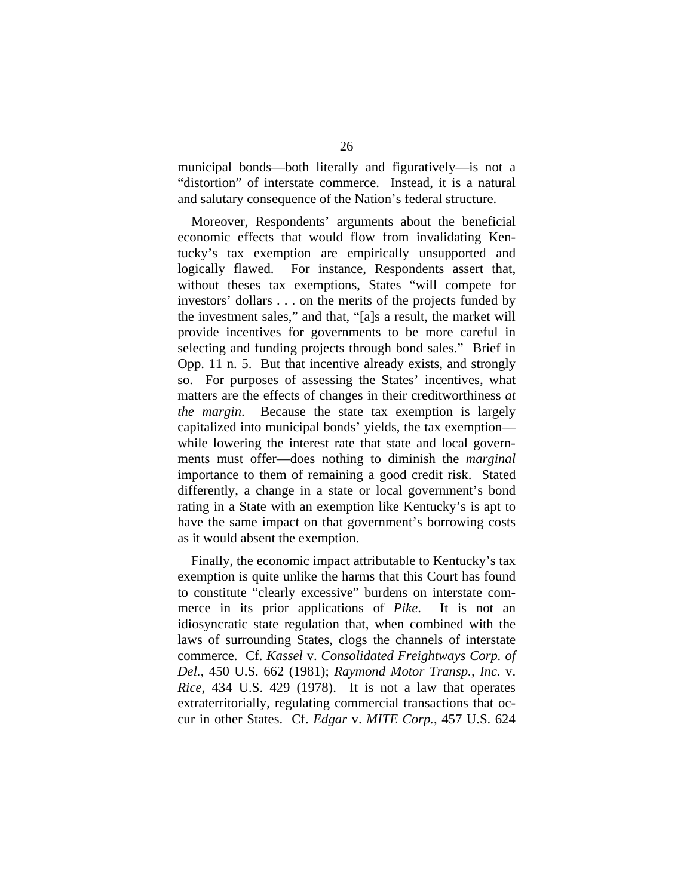municipal bonds—both literally and figuratively—is not a "distortion" of interstate commerce. Instead, it is a natural and salutary consequence of the Nation's federal structure.

Moreover, Respondents' arguments about the beneficial economic effects that would flow from invalidating Kentucky's tax exemption are empirically unsupported and logically flawed. For instance, Respondents assert that, without theses tax exemptions, States "will compete for investors' dollars . . . on the merits of the projects funded by the investment sales," and that, "[a]s a result, the market will provide incentives for governments to be more careful in selecting and funding projects through bond sales." Brief in Opp. 11 n. 5. But that incentive already exists, and strongly so. For purposes of assessing the States' incentives, what matters are the effects of changes in their creditworthiness *at the margin*. Because the state tax exemption is largely capitalized into municipal bonds' yields, the tax exemption while lowering the interest rate that state and local governments must offer—does nothing to diminish the *marginal* importance to them of remaining a good credit risk. Stated differently, a change in a state or local government's bond rating in a State with an exemption like Kentucky's is apt to have the same impact on that government's borrowing costs as it would absent the exemption.

Finally, the economic impact attributable to Kentucky's tax exemption is quite unlike the harms that this Court has found to constitute "clearly excessive" burdens on interstate commerce in its prior applications of *Pike*. It is not an idiosyncratic state regulation that, when combined with the laws of surrounding States, clogs the channels of interstate commerce. Cf. *Kassel* v. *Consolidated Freightways Corp. of Del.*, 450 U.S. 662 (1981); *Raymond Motor Transp., Inc.* v. *Rice*, 434 U.S. 429 (1978). It is not a law that operates extraterritorially, regulating commercial transactions that occur in other States. Cf. *Edgar* v. *MITE Corp.*, 457 U.S. 624